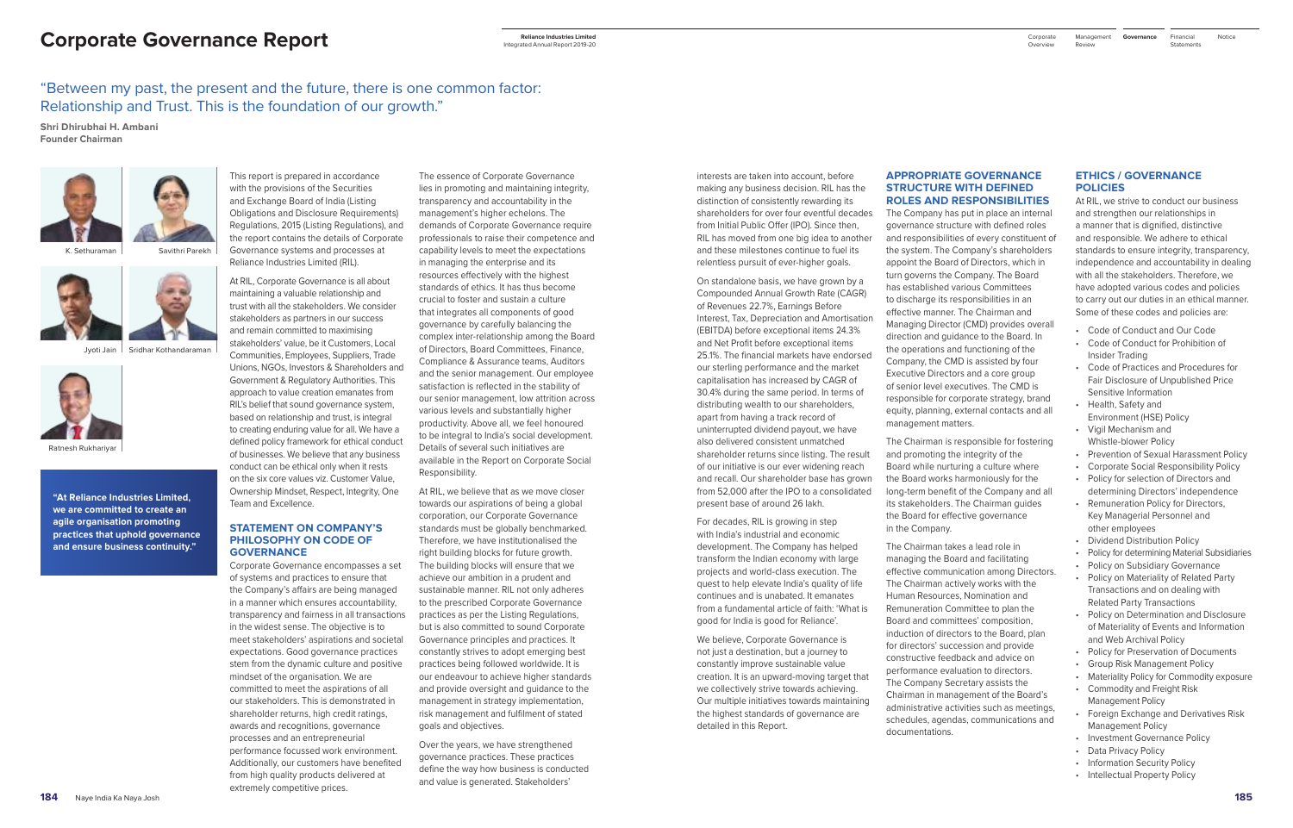# **Corporate Governance Report**

# "Between my past, the present and the future, there is one common factor: Relationship and Trust. This is the foundation of our growth."

**Shri Dhirubhai H. Ambani Founder Chairman**

> This report is prepared in accordance with the provisions of the Securities and Exchange Board of India (Listing Obligations and Disclosure Requirements) Regulations, 2015 (Listing Regulations), and the report contains the details of Corporate Governance systems and processes at Reliance Industries Limited (RIL).

> At RIL, Corporate Governance is all about maintaining a valuable relationship and trust with all the stakeholders. We consider stakeholders as partners in our success and remain committed to maximising stakeholders' value, be it Customers, Local Communities, Employees, Suppliers, Trade Unions, NGOs, Investors & Shareholders and Government & Regulatory Authorities. This approach to value creation emanates from RIL's belief that sound governance system, based on relationship and trust, is integral to creating enduring value for all. We have a defined policy framework for ethical conduct of businesses. We believe that any business conduct can be ethical only when it rests on the six core values viz. Customer Value, Ownership Mindset, Respect, Integrity, One Team and Excellence.

#### **STATEMENT ON COMPANY'S PHILOSOPHY ON CODE OF GOVERNANCE**

Corporate Governance encompasses a set of systems and practices to ensure that the Company's affairs are being managed in a manner which ensures accountability, transparency and fairness in all transactions in the widest sense. The objective is to meet stakeholders' aspirations and societal expectations. Good governance practices stem from the dynamic culture and positive mindset of the organisation. We are committed to meet the aspirations of all our stakeholders. This is demonstrated in shareholder returns, high credit ratings, awards and recognitions, governance processes and an entrepreneurial performance focussed work environment. Additionally, our customers have benefited from high quality products delivered at extremely competitive prices.

The essence of Corporate Governance lies in promoting and maintaining integrity, transparency and accountability in the management's higher echelons. The demands of Corporate Governance require professionals to raise their competence and capability levels to meet the expectations in managing the enterprise and its resources effectively with the highest standards of ethics. It has thus become crucial to foster and sustain a culture that integrates all components of good governance by carefully balancing the complex inter-relationship among the Board of Directors, Board Committees, Finance, Compliance & Assurance teams, Auditors and the senior management. Our employee satisfaction is reflected in the stability of our senior management, low attrition across various levels and substantially higher productivity. Above all, we feel honoured to be integral to India's social development. Details of several such initiatives are available in the Report on Corporate Social Responsibility.

At RIL, we believe that as we move closer towards our aspirations of being a global corporation, our Corporate Governance standards must be globally benchmarked. Therefore, we have institutionalised the right building blocks for future growth. The building blocks will ensure that we achieve our ambition in a prudent and sustainable manner. RIL not only adheres to the prescribed Corporate Governance practices as per the Listing Regulations, but is also committed to sound Corporate Governance principles and practices. It constantly strives to adopt emerging best practices being followed worldwide. It is our endeavour to achieve higher standards and provide oversight and guidance to the management in strategy implementation, risk management and fulfilment of stated goals and objectives.

Over the years, we have strengthened governance practices. These practices define the way how business is conducted and value is generated. Stakeholders'

interests are taken into account, before making any business decision. RIL has the distinction of consistently rewarding its shareholders for over four eventful decades from Initial Public Offer (IPO). Since then, RIL has moved from one big idea to another and these milestones continue to fuel its relentless pursuit of ever-higher goals.

Financial Notice **Statements** 

- 
- 
- 
- 
- 
- 
- 
- 
- 
- 
- 
- 
- 
- 
- 
- 
- 
- 
- 
- 

On standalone basis, we have grown by a Compounded Annual Growth Rate (CAGR) of Revenues 22.7%, Earnings Before Interest, Tax, Depreciation and Amortisation (EBITDA) before exceptional items 24.3% and Net Profit before exceptional items 25.1%. The financial markets have endorsed our sterling performance and the market capitalisation has increased by CAGR of 30.4% during the same period. In terms of distributing wealth to our shareholders, apart from having a track record of uninterrupted dividend payout, we have also delivered consistent unmatched shareholder returns since listing. The result of our initiative is our ever widening reach and recall. Our shareholder base has grown from 52,000 after the IPO to a consolidated present base of around 26 lakh.

For decades, RIL is growing in step with India's industrial and economic development. The Company has helped transform the Indian economy with large projects and world-class execution. The quest to help elevate India's quality of life continues and is unabated. It emanates from a fundamental article of faith: 'What is good for India is good for Reliance'.

We believe, Corporate Governance is not just a destination, but a journey to constantly improve sustainable value creation. It is an upward-moving target that we collectively strive towards achieving. Our multiple initiatives towards maintaining the highest standards of governance are detailed in this Report.

## **APPROPRIATE GOVERNANCE STRUCTURE WITH DEFINED ROLES AND RESPONSIBILITIES**

The Company has put in place an internal governance structure with defined roles and responsibilities of every constituent of the system. The Company's shareholders appoint the Board of Directors, which in turn governs the Company. The Board has established various Committees to discharge its responsibilities in an effective manner. The Chairman and Managing Director (CMD) provides overall direction and guidance to the Board. In the operations and functioning of the Company, the CMD is assisted by four Executive Directors and a core group of senior level executives. The CMD is responsible for corporate strategy, brand equity, planning, external contacts and all management matters.

The Chairman is responsible for fostering and promoting the integrity of the Board while nurturing a culture where the Board works harmoniously for the long-term benefit of the Company and all its stakeholders. The Chairman guides the Board for effective governance in the Company.

The Chairman takes a lead role in managing the Board and facilitating effective communication among Directors. The Chairman actively works with the Human Resources, Nomination and Remuneration Committee to plan the Board and committees' composition, induction of directors to the Board, plan for directors' succession and provide constructive feedback and advice on performance evaluation to directors. The Company Secretary assists the Chairman in management of the Board's administrative activities such as meetings, schedules, agendas, communications and documentations.

## **ETHICS / GOVERNANCE POLICIES**

At RIL, we strive to conduct our business and strengthen our relationships in a manner that is dignified, distinctive and responsible. We adhere to ethical standards to ensure integrity, transparency, independence and accountability in dealing with all the stakeholders. Therefore, we have adopted various codes and policies to carry out our duties in an ethical manner. Some of these codes and policies are:

- Code of Conduct and Our Code
- Code of Conduct for Prohibition of Insider Trading
- Code of Practices and Procedures for Fair Disclosure of Unpublished Price Sensitive Information
- Health, Safety and Environment (HSE) Policy • Vigil Mechanism and
- Whistle-blower Policy
- 
- Prevention of Sexual Harassment Policy
- Corporate Social Responsibility Policy • Policy for selection of Directors and
- determining Directors' independence
- Remuneration Policy for Directors, Key Managerial Personnel and other employees
- Dividend Distribution Policy
- Policy for determining Material Subsidiaries
- Policy on Subsidiary Governance
- Policy on Materiality of Related Party Transactions and on dealing with Related Party Transactions
- Policy on Determination and Disclosure of Materiality of Events and Information and Web Archival Policy
- Policy for Preservation of Documents
- Group Risk Management Policy
- Materiality Policy for Commodity exposure
- Commodity and Freight Risk Management Policy
- Foreign Exchange and Derivatives Risk Management Policy
- Investment Governance Policy
- Data Privacy Policy
- Information Security Policy
- Intellectual Property Policy

K. Sethuraman

Ratnesh Rukhariyar



Jyoti Jain Sridhar Kothandaraman





**"At Reliance Industries Limited, we are committed to create an agile organisation promoting practices that uphold governance and ensure business continuity."**

**Reliance Industries Limited**  Integrated Annual Report 2019-20

Management Corporate **Governance** Review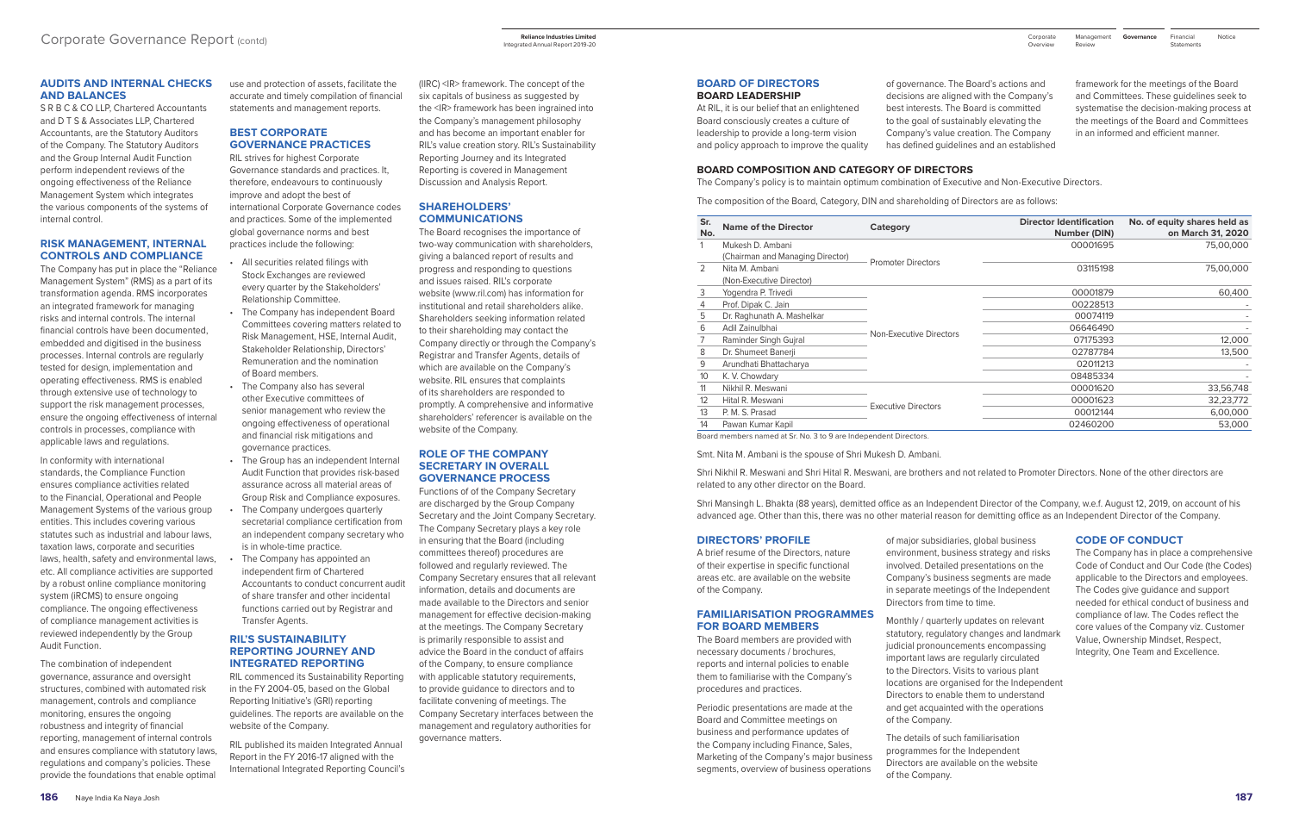### **AUDITS AND INTERNAL CHECKS AND BALANCES**

S R B C & CO LLP, Chartered Accountants and D T S & Associates LLP, Chartered Accountants, are the Statutory Auditors of the Company. The Statutory Auditors and the Group Internal Audit Function perform independent reviews of the ongoing effectiveness of the Reliance Management System which integrates the various components of the systems of internal control.

#### **RISK MANAGEMENT, INTERNAL CONTROLS AND COMPLIANCE**

The Company has put in place the "Reliance Management System" (RMS) as a part of its transformation agenda. RMS incorporates an integrated framework for managing risks and internal controls. The internal financial controls have been documented, embedded and digitised in the business processes. Internal controls are regularly tested for design, implementation and operating effectiveness. RMS is enabled through extensive use of technology to support the risk management processes, ensure the ongoing effectiveness of internal controls in processes, compliance with applicable laws and regulations.

In conformity with international standards, the Compliance Function ensures compliance activities related to the Financial, Operational and People Management Systems of the various group entities. This includes covering various statutes such as industrial and labour laws, taxation laws, corporate and securities laws, health, safety and environmental laws, etc. All compliance activities are supported by a robust online compliance monitoring system (iRCMS) to ensure ongoing compliance. The ongoing effectiveness of compliance management activities is reviewed independently by the Group Audit Function.

The combination of independent governance, assurance and oversight structures, combined with automated risk management, controls and compliance monitoring, ensures the ongoing robustness and integrity of financial reporting, management of internal controls and ensures compliance with statutory laws, regulations and company's policies. These provide the foundations that enable optimal

use and protection of assets, facilitate the accurate and timely compilation of financial statements and management reports.

## **BEST CORPORATE GOVERNANCE PRACTICES**

RIL strives for highest Corporate Governance standards and practices. It, therefore, endeavours to continuously improve and adopt the best of international Corporate Governance codes and practices. Some of the implemented global governance norms and best practices include the following:

- All securities related filings with Stock Exchanges are reviewed every quarter by the Stakeholders' Relationship Committee.
- The Company has independent Board Committees covering matters related to Risk Management, HSE, Internal Audit, Stakeholder Relationship, Directors' Remuneration and the nomination of Board members.
- The Company also has several other Executive committees of senior management who review the ongoing effectiveness of operational and financial risk mitigations and governance practices.
- The Group has an independent Internal Audit Function that provides risk-based assurance across all material areas of Group Risk and Compliance exposures.
- The Company undergoes quarterly secretarial compliance certification from an independent company secretary who is in whole-time practice.
- The Company has appointed an independent firm of Chartered Accountants to conduct concurrent audit of share transfer and other incidental functions carried out by Registrar and Transfer Agents.

#### **RIL'S SUSTAINABILITY REPORTING JOURNEY AND INTEGRATED REPORTING**

RIL commenced its Sustainability Reporting in the FY 2004-05, based on the Global Reporting Initiative's (GRI) reporting guidelines. The reports are available on the website of the Company.

RIL published its maiden Integrated Annual Report in the FY 2016-17 aligned with the International Integrated Reporting Council's

(IIRC) <IR> framework. The concept of the six capitals of business as suggested by the <IR> framework has been ingrained into the Company's management philosophy and has become an important enabler for RIL's value creation story. RIL's Sustainability Reporting Journey and its Integrated Reporting is covered in Management Discussion and Analysis Report.

#### **SHAREHOLDERS' COMMUNICATIONS**

The Board recognises the importance of two-way communication with shareholders, giving a balanced report of results and progress and responding to questions and issues raised. RIL's corporate website (www.ril.com) has information for institutional and retail shareholders alike. Shareholders seeking information related to their shareholding may contact the Company directly or through the Company's Registrar and Transfer Agents, details of which are available on the Company's website. RIL ensures that complaints of its shareholders are responded to promptly. A comprehensive and informative shareholders' referencer is available on the website of the Company.

Financial Notice **Statements** 

#### **ROLE OF THE COMPANY SECRETARY IN OVERALL GOVERNANCE PROCESS**

Functions of of the Company Secretary are discharged by the Group Company Secretary and the Joint Company Secretary. The Company Secretary plays a key role in ensuring that the Board (including committees thereof) procedures are followed and regularly reviewed. The Company Secretary ensures that all relevant information, details and documents are made available to the Directors and senior management for effective decision-making at the meetings. The Company Secretary is primarily responsible to assist and advice the Board in the conduct of affairs of the Company, to ensure compliance with applicable statutory requirements, to provide guidance to directors and to facilitate convening of meetings. The Company Secretary interfaces between the management and regulatory authorities for governance matters.

#### **BOARD OF DIRECTORS BOARD LEADERSHIP**

At RIL, it is our belief that an enlightened Board consciously creates a culture of leadership to provide a long-term vision and policy approach to improve the quality of governance. The Board's actions and decisions are aligned with the Company's best interests. The Board is committed to the goal of sustainably elevating the Company's value creation. The Company has defined guidelines and an established framework for the meetings of the Board and Committees. These guidelines seek to systematise the decision-making process at the meetings of the Board and Committees in an informed and efficient manner.

#### **BOARD COMPOSITION AND CATEGORY OF DIRECTORS**

The Company's policy is to maintain optimum combination of Executive and Non-Executive Directors.

The composition of the Board, Category, DIN and shareholding of Directors are as follows:

| Sr.<br>No. | <b>Name of the Director</b>      | Category                   | <b>Director Identification</b><br>Number (DIN) | No. of equity shares held as<br>on March 31, 2020 |
|------------|----------------------------------|----------------------------|------------------------------------------------|---------------------------------------------------|
| 1          | Mukesh D. Ambani                 |                            | 00001695                                       | 75,00,000                                         |
|            | (Chairman and Managing Director) | <b>Promoter Directors</b>  |                                                |                                                   |
| 2          | Nita M. Ambani                   |                            | 03115198                                       | 75,00,000                                         |
|            | (Non-Executive Director)         |                            |                                                |                                                   |
| 3          | Yogendra P. Trivedi              |                            | 00001879                                       | 60,400                                            |
| 4          | Prof. Dipak C. Jain              |                            | 00228513                                       |                                                   |
| 5          | Dr. Raghunath A. Mashelkar       |                            | 00074119                                       |                                                   |
| 6          | Adil Zainulbhai                  | Non-Executive Directors    | 06646490                                       |                                                   |
| 7          | Raminder Singh Gujral            |                            | 07175393                                       | 12,000                                            |
| 8          | Dr. Shumeet Banerji              |                            | 02787784                                       | 13,500                                            |
| 9          | Arundhati Bhattacharya           |                            | 02011213                                       |                                                   |
| 10         | K. V. Chowdary                   |                            | 08485334                                       |                                                   |
| 11         | Nikhil R. Meswani                |                            | 00001620                                       | 33,56,748                                         |
| 12         | Hital R. Meswani                 |                            | 00001623                                       | 32,23,772                                         |
| 13         | P. M. S. Prasad                  | <b>Executive Directors</b> | 00012144                                       | 6,00,000                                          |
| 14         | Pawan Kumar Kapil                |                            | 02460200                                       | 53,000                                            |

Board members named at Sr. No. 3 to 9 are Independent Directors.

Smt. Nita M. Ambani is the spouse of Shri Mukesh D. Ambani.

Shri Nikhil R. Meswani and Shri Hital R. Meswani, are brothers and not related to Promoter Directors. None of the other directors are related to any other director on the Board.

Shri Mansingh L. Bhakta (88 years), demitted office as an Independent Director of the Company, w.e.f. August 12, 2019, on account of his advanced age. Other than this, there was no other material reason for demitting office as an Independent Director of the Company.

#### **DIRECTORS' PROFILE**

A brief resume of the Directors, nature of their expertise in specific functional areas etc. are available on the website of the Company.

#### **FAMILIARISATION PROGRAMMES FOR BOARD MEMBERS**

The Board members are provided with necessary documents / brochures, reports and internal policies to enable them to familiarise with the Company's procedures and practices.

Periodic presentations are made at the Board and Committee meetings on business and performance updates of the Company including Finance, Sales, Marketing of the Company's major business segments, overview of business operations

of major subsidiaries, global business environment, business strategy and risks involved. Detailed presentations on the Company's business segments are made in separate meetings of the Independent Directors from time to time.

Monthly / quarterly updates on relevant statutory, regulatory changes and landmark judicial pronouncements encompassing important laws are regularly circulated to the Directors. Visits to various plant locations are organised for the Independent Directors to enable them to understand and get acquainted with the operations of the Company.

The details of such familiarisation programmes for the Independent Directors are available on the website of the Company.

#### **CODE OF CONDUCT**

The Company has in place a comprehensive Code of Conduct and Our Code (the Codes) applicable to the Directors and employees. The Codes give guidance and support needed for ethical conduct of business and compliance of law. The Codes reflect the core values of the Company viz. Customer Value, Ownership Mindset, Respect, Integrity, One Team and Excellence.

Review

Management Corporate **Governance**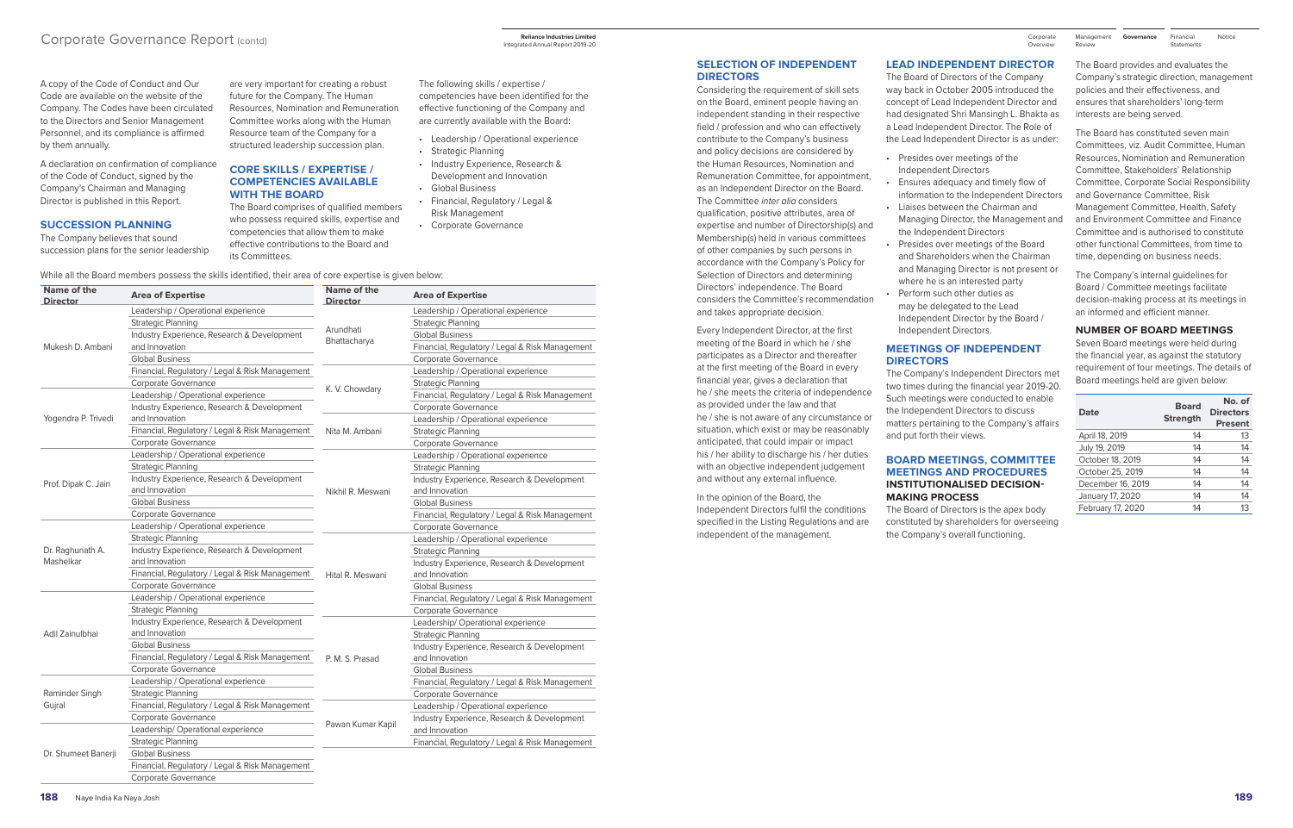## Corporate Governance Report (contd)

A copy of the Code of Conduct and Our Code are available on the website of the Company. The Codes have been circulated to the Directors and Senior Management Personnel, and its compliance is affirmed by them annually.

A declaration on confirmation of compliance of the Code of Conduct, signed by the Company's Chairman and Managing Director is published in this Report.

#### **SUCCESSION PLANNING**

The Company believes that sound succession plans for the senior leadership

are very important for creating a robust future for the Company. The Human Resources, Nomination and Remuneration Committee works along with the Human Resource team of the Company for a structured leadership succession plan.

#### **CORE SKILLS / EXPERTISE / COMPETENCIES AVAILABLE WITH THE BOARD**

The Board comprises of qualified members who possess required skills, expertise and competencies that allow them to make effective contributions to the Board and its Committees.

- The following skills / expertise / competencies have been identified for the effective functioning of the Company and are currently available with the Board:
- Leadership / Operational experience • Strategic Planning
- Industry Experience, Research & Development and Innovation
- Global Business
- Financial, Regulatory / Legal & Risk Management
- Corporate Governance

While all the Board members possess the skills identified, their area of core expertise is given below:

| Name of the<br><b>Director</b> | <b>Area of Expertise</b>                        | Name of the<br><b>Director</b> | <b>Area of Expertise</b>                        |
|--------------------------------|-------------------------------------------------|--------------------------------|-------------------------------------------------|
|                                | Leadership / Operational experience             |                                | Leadership / Operational experience             |
|                                | Strategic Planning                              |                                | <b>Strategic Planning</b>                       |
|                                | Industry Experience, Research & Development     | Arundhati                      | <b>Global Business</b>                          |
| Mukesh D. Ambani               | and Innovation                                  | Bhattacharya                   | Financial, Regulatory / Legal & Risk Management |
|                                | <b>Global Business</b>                          |                                | <b>Corporate Governance</b>                     |
|                                | Financial, Regulatory / Legal & Risk Management |                                | Leadership / Operational experience             |
|                                | Corporate Governance                            |                                | <b>Strategic Planning</b>                       |
|                                | Leadership / Operational experience             | K. V. Chowdary                 | Financial, Regulatory / Legal & Risk Management |
|                                | Industry Experience, Research & Development     |                                | Corporate Governance                            |
| Yogendra P. Trivedi            | and Innovation                                  |                                | Leadership / Operational experience             |
|                                | Financial, Regulatory / Legal & Risk Management | Nita M. Ambani                 | <b>Strategic Planning</b>                       |
|                                | <b>Corporate Governance</b>                     |                                | Corporate Governance                            |
|                                | Leadership / Operational experience             |                                | Leadership / Operational experience             |
|                                | <b>Strategic Planning</b>                       |                                | <b>Strategic Planning</b>                       |
| Prof. Dipak C. Jain            | Industry Experience, Research & Development     |                                | Industry Experience, Research & Development     |
|                                | and Innovation                                  | Nikhil R. Meswani              | and Innovation                                  |
|                                | <b>Global Business</b>                          |                                | <b>Global Business</b>                          |
|                                | <b>Corporate Governance</b>                     |                                | Financial, Regulatory / Legal & Risk Management |
|                                | Leadership / Operational experience             |                                | <b>Corporate Governance</b>                     |
|                                | <b>Strategic Planning</b>                       |                                | Leadership / Operational experience             |
| Dr. Raghunath A.               | Industry Experience, Research & Development     |                                | <b>Strategic Planning</b>                       |
| Mashelkar                      | and Innovation                                  |                                | Industry Experience, Research & Development     |
|                                | Financial, Regulatory / Legal & Risk Management | Hital R. Meswani               | and Innovation                                  |
|                                | Corporate Governance                            |                                | <b>Global Business</b>                          |
|                                | Leadership / Operational experience             |                                | Financial, Regulatory / Legal & Risk Management |
|                                | <b>Strategic Planning</b>                       |                                | <b>Corporate Governance</b>                     |
|                                | Industry Experience, Research & Development     |                                | Leadership/ Operational experience              |
| Adil Zainulbhai                | and Innovation                                  |                                | <b>Strategic Planning</b>                       |
|                                | <b>Global Business</b>                          |                                | Industry Experience, Research & Development     |
|                                | Financial, Regulatory / Legal & Risk Management | P. M. S. Prasad                | and Innovation                                  |
|                                | Corporate Governance                            |                                | <b>Global Business</b>                          |
|                                | Leadership / Operational experience             |                                | Financial, Regulatory / Legal & Risk Management |
| Raminder Singh                 | <b>Strategic Planning</b>                       |                                | Corporate Governance                            |
| Gujral                         | Financial, Regulatory / Legal & Risk Management |                                | Leadership / Operational experience             |
|                                | Corporate Governance                            |                                | Industry Experience, Research & Development     |
|                                | Leadership/Operational experience               | Pawan Kumar Kapil              | and Innovation                                  |
|                                | <b>Strategic Planning</b>                       |                                | Financial, Regulatory / Legal & Risk Management |
| Dr. Shumeet Banerji            | <b>Global Business</b>                          |                                |                                                 |
|                                | Financial, Regulatory / Legal & Risk Management |                                |                                                 |

Corporate Governance

Financial Notice **Statements** 

#### **SELECTION OF INDEPENDENT DIRECTORS**

Considering the requirement of skill sets on the Board, eminent people having an independent standing in their respective field / profession and who can effectively contribute to the Company's business and policy decisions are considered by the Human Resources, Nomination and Remuneration Committee, for appointment, as an Independent Director on the Board. The Committee *inter alia* considers qualification, positive attributes, area of expertise and number of Directorship(s) and Membership(s) held in various committees of other companies by such persons in accordance with the Company's Policy for Selection of Directors and determining Directors' independence. The Board considers the Committee's recommendation and takes appropriate decision.

Every Independent Director, at the first meeting of the Board in which he / she participates as a Director and thereafter at the first meeting of the Board in every financial year, gives a declaration that he / she meets the criteria of independence as provided under the law and that he / she is not aware of any circumstance or situation, which exist or may be reasonably anticipated, that could impair or impact his / her ability to discharge his / her duties with an objective independent judgement and without any external influence.

# In the opinion of the Board, the

Independent Directors fulfil the conditions specified in the Listing Regulations and are independent of the management.

#### **LEAD INDEPENDENT DIRECTOR**

The Board of Directors of the Company way back in October 2005 introduced the concept of Lead Independent Director and had designated Shri Mansingh L. Bhakta as a Lead Independent Director. The Role of the Lead Independent Director is as under:

- Presides over meetings of the Independent Directors
- Ensures adequacy and timely flow of information to the Independent Directors • Liaises between the Chairman and Managing Director, the Management and
- the Independent Directors • Presides over meetings of the Board and Shareholders when the Chairman and Managing Director is not present or where he is an interested party
- Perform such other duties as may be delegated to the Lead Independent Director by the Board / Independent Directors.

## **MEETINGS OF INDEPENDENT DIRECTORS**

The Company's Independent Directors met two times during the financial year 2019-20. Such meetings were conducted to enable the Independent Directors to discuss matters pertaining to the Company's affairs and put forth their views.

#### **BOARD MEETINGS, COMMITTEE MEETINGS AND PROCEDURES INSTITUTIONALISED DECISION-MAKING PROCESS**

The Board of Directors is the apex body constituted by shareholders for overseeing the Company's overall functioning.

The Board provides and evaluates the Company's strategic direction, management policies and their effectiveness, and ensures that shareholders' long-term interests are being served.

The Board has constituted seven main Committees, viz. Audit Committee, Human Resources, Nomination and Remuneration Committee, Stakeholders' Relationship Committee, Corporate Social Responsibility and Governance Committee, Risk Management Committee, Health, Safety and Environment Committee and Finance Committee and is authorised to constitute other functional Committees, from time to time, depending on business needs.

The Company's internal guidelines for Board / Committee meetings facilitate decision-making process at its meetings in an informed and efficient manner.

**NUMBER OF BOARD MEETINGS**

Seven Board meetings were held during the financial year, as against the statutory requirement of four meetings. The details of Board meetings held are given below:

| Date              | <b>Board</b><br><b>Strength</b> | No. of<br><b>Directors</b><br><b>Present</b> |
|-------------------|---------------------------------|----------------------------------------------|
| April 18, 2019    | 14                              | 13                                           |
| July 19, 2019     | 14                              | 14                                           |
| October 18, 2019  | 14                              | 14                                           |
| October 25, 2019  | 14                              | 14                                           |
| December 16, 2019 | 14                              | 14                                           |
| January 17, 2020  | 14                              | 14                                           |
| February 17, 2020 | 14                              | 13                                           |
|                   |                                 |                                              |

**Reliance Industries Limited**  Integrated Annual Report 2019-20

Management Corporate **Governance** Review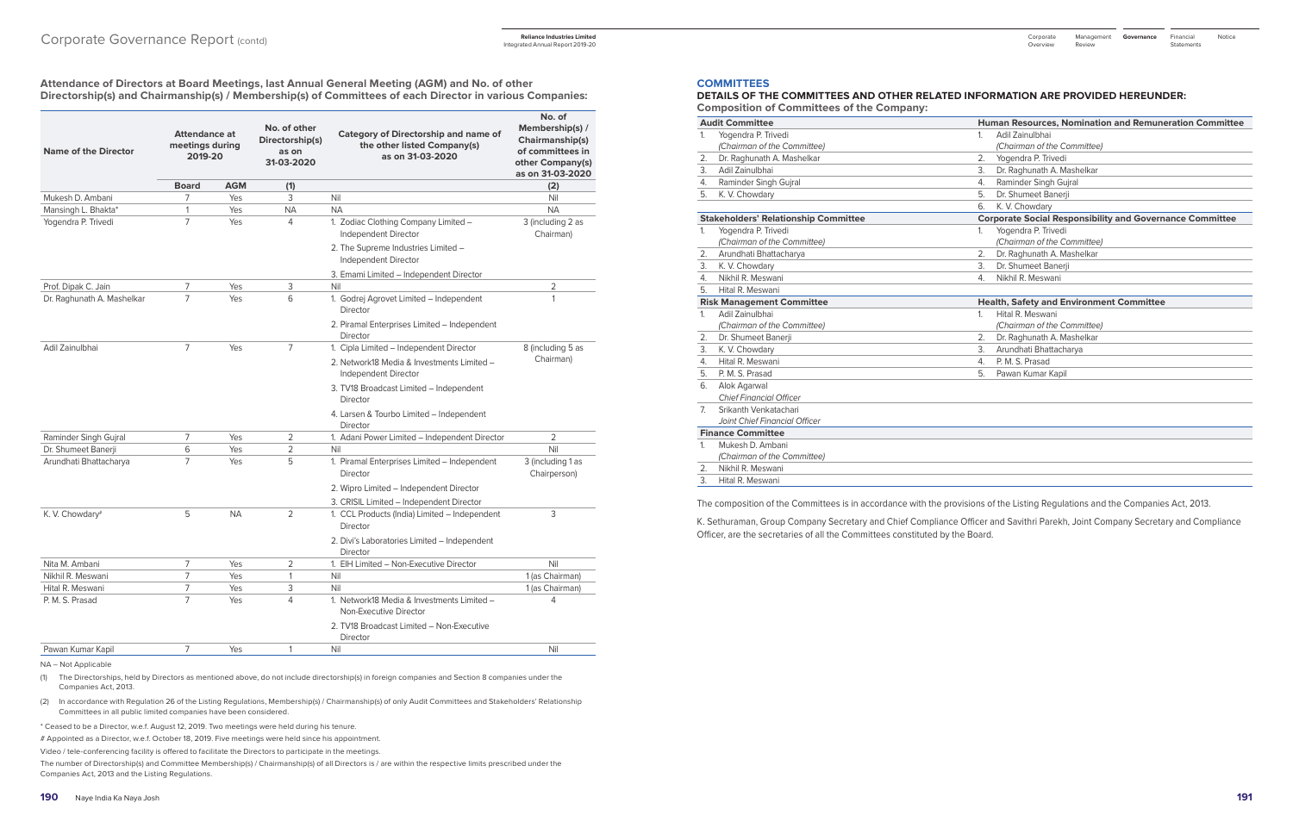**Attendance of Directors at Board Meetings, last Annual General Meeting (AGM) and No. of other Directorship(s) and Chairmanship(s) / Membership(s) of Committees of each Director in various Companies:** 

| <b>Name of the Director</b> | <b>Attendance at</b><br>meetings during<br>2019-20 |            | No. of other<br>Directorship(s)<br>as on<br>31-03-2020 | <b>Category of Directorship and name of</b><br>the other listed Company(s)<br>as on 31-03-2020 | No. of<br>Membership(s) /<br>Chairmanship(s)<br>of committees in<br>other Company(s)<br>as on 31-03-2020 |  |
|-----------------------------|----------------------------------------------------|------------|--------------------------------------------------------|------------------------------------------------------------------------------------------------|----------------------------------------------------------------------------------------------------------|--|
|                             | <b>Board</b>                                       | <b>AGM</b> | (1)                                                    |                                                                                                | (2)                                                                                                      |  |
| Mukesh D. Ambani            | 7                                                  | Yes        | 3                                                      | Nil                                                                                            | Nil                                                                                                      |  |
| Mansingh L. Bhakta*         | $\mathbf{1}$                                       | Yes        | <b>NA</b>                                              | <b>NA</b>                                                                                      | <b>NA</b>                                                                                                |  |
| Yogendra P. Trivedi         | $\overline{7}$                                     | Yes        | 4                                                      | 1. Zodiac Clothing Company Limited -<br>Independent Director                                   | 3 (including 2 as<br>Chairman)                                                                           |  |
|                             |                                                    |            |                                                        | 2. The Supreme Industries Limited -<br>Independent Director                                    |                                                                                                          |  |
|                             |                                                    |            |                                                        | 3. Emami Limited - Independent Director                                                        |                                                                                                          |  |
| Prof. Dipak C. Jain         | 7                                                  | Yes        | 3                                                      | Nil                                                                                            | 2                                                                                                        |  |
| Dr. Raghunath A. Mashelkar  | $\overline{7}$                                     | Yes        | 6                                                      | 1. Godrej Agrovet Limited - Independent<br>Director                                            | $\mathbf{1}$                                                                                             |  |
|                             |                                                    |            |                                                        | 2. Piramal Enterprises Limited – Independent<br>Director                                       |                                                                                                          |  |
| Adil Zainulbhai             | $\overline{7}$                                     | Yes        | $\overline{7}$                                         | 1. Cipla Limited - Independent Director                                                        | 8 (including 5 as                                                                                        |  |
|                             |                                                    |            |                                                        | 2. Network18 Media & Investments Limited -<br>Independent Director                             | Chairman)                                                                                                |  |
|                             |                                                    |            |                                                        | 3. TV18 Broadcast Limited - Independent<br><b>Director</b>                                     |                                                                                                          |  |
|                             |                                                    |            |                                                        | 4. Larsen & Tourbo Limited - Independent<br>Director                                           |                                                                                                          |  |
| Raminder Singh Gujral       | 7                                                  | Yes        | 2                                                      | 1. Adani Power Limited - Independent Director                                                  | $\overline{2}$                                                                                           |  |
| Dr. Shumeet Banerji         | 6                                                  | Yes        | $\overline{2}$                                         | Nil                                                                                            | Nil                                                                                                      |  |
| Arundhati Bhattacharya      | 7                                                  | Yes        | 5                                                      | 1. Piramal Enterprises Limited - Independent<br><b>Director</b>                                | 3 (including 1 as<br>Chairperson)                                                                        |  |
|                             |                                                    |            |                                                        | 2. Wipro Limited - Independent Director                                                        |                                                                                                          |  |
|                             |                                                    |            |                                                        | 3. CRISIL Limited - Independent Director                                                       |                                                                                                          |  |
| K. V. Chowdary#             | 5                                                  | <b>NA</b>  | 2                                                      | 1. CCL Products (India) Limited - Independent<br>Director                                      | 3                                                                                                        |  |
|                             |                                                    |            |                                                        | 2. Divi's Laboratories Limited - Independent<br>Director                                       |                                                                                                          |  |
| Nita M. Ambani              | 7                                                  | Yes        | 2                                                      | 1. EIH Limited - Non-Executive Director                                                        | Nil                                                                                                      |  |
| Nikhil R. Meswani           | $\overline{7}$                                     | Yes        | 1                                                      | Nil                                                                                            | 1 (as Chairman)                                                                                          |  |
| Hital R. Meswani            | $\overline{7}$                                     | Yes        | 3                                                      | Nil                                                                                            | 1 (as Chairman)                                                                                          |  |
| P. M. S. Prasad             | $\overline{7}$                                     | Yes        | 4                                                      | 1. Network18 Media & Investments Limited -<br>Non-Executive Director                           | 4                                                                                                        |  |
|                             |                                                    |            |                                                        | 2. TV18 Broadcast Limited - Non-Executive<br><b>Director</b>                                   |                                                                                                          |  |
| Pawan Kumar Kapil           | 7                                                  | Yes        | 1                                                      | Nil                                                                                            | Nil                                                                                                      |  |

NA – Not Applicable

(1) The Directorships, held by Directors as mentioned above, do not include directorship(s) in foreign companies and Section 8 companies under the Companies Act, 2013.

(2) In accordance with Regulation 26 of the Listing Regulations, Membership(s) / Chairmanship(s) of only Audit Committees and Stakeholders' Relationship Committees in all public limited companies have been considered.

Financial Notice **Statements** 

\* Ceased to be a Director, w.e.f. August 12, 2019. Two meetings were held during his tenure.

# Appointed as a Director, w.e.f. October 18, 2019. Five meetings were held since his appointment.

Video / tele-conferencing facility is offered to facilitate the Directors to participate in the meetings.

The number of Directorship(s) and Committee Membership(s) / Chairmanship(s) of all Directors is / are within the respective limits prescribed under the Companies Act, 2013 and the Listing Regulations.

#### **COMMITTEES**

#### **DETAILS OF THE COMMITTEES AND OTHER RELATED INFORMATION ARE PROVIDED HEREUNDER: Composition of Committees of the Company:**

|                | <b>Audit Committee</b>                      |                | <b>Human Resources, Nomination and Remuneration Committee</b>   |
|----------------|---------------------------------------------|----------------|-----------------------------------------------------------------|
| 1.             | Yogendra P. Trivedi                         | 1 <sub>1</sub> | Adil Zainulbhai                                                 |
|                | (Chairman of the Committee)                 |                | (Chairman of the Committee)                                     |
| 2.             | Dr. Raghunath A. Mashelkar                  | 2.             | Yogendra P. Trivedi                                             |
| 3.             | Adil Zainulbhai                             | 3.             | Dr. Raghunath A. Mashelkar                                      |
| 4.             | Raminder Singh Gujral                       | 4.             | Raminder Singh Gujral                                           |
| 5.             | K. V. Chowdary                              | 5.             | Dr. Shumeet Banerii                                             |
|                |                                             | 6.             | K. V. Chowdary                                                  |
|                | <b>Stakeholders' Relationship Committee</b> |                | <b>Corporate Social Responsibility and Governance Committee</b> |
| 1.             | Yogendra P. Trivedi                         | 1.             | Yogendra P. Trivedi                                             |
|                | (Chairman of the Committee)                 |                | (Chairman of the Committee)                                     |
| 2.             | Arundhati Bhattacharya                      | 2.             | Dr. Raghunath A. Mashelkar                                      |
| 3.             | K. V. Chowdary                              | 3.             | Dr. Shumeet Banerii                                             |
| 4.             | Nikhil R. Meswani                           | 4.             | Nikhil R. Meswani                                               |
| 5.             | Hital R. Meswani                            |                |                                                                 |
|                | <b>Risk Management Committee</b>            |                | <b>Health, Safety and Environment Committee</b>                 |
| 1.             | Adil Zainulbhai                             | $\mathbf{1}$ . | Hital R. Meswani                                                |
|                | (Chairman of the Committee)                 |                | (Chairman of the Committee)                                     |
| 2.             | Dr. Shumeet Banerji                         | 2.             | Dr. Raghunath A. Mashelkar                                      |
| 3.             | K. V. Chowdary                              | 3.             | Arundhati Bhattacharya                                          |
| 4.             | Hital R. Meswani                            | 4.             | P. M. S. Prasad                                                 |
| 5.             | P. M. S. Prasad                             | 5.             | Pawan Kumar Kapil                                               |
| 6.             | Alok Agarwal                                |                |                                                                 |
|                | <b>Chief Financial Officer</b>              |                |                                                                 |
| 7 <sup>1</sup> | Srikanth Venkatachari                       |                |                                                                 |
|                | Joint Chief Financial Officer               |                |                                                                 |
|                | <b>Finance Committee</b>                    |                |                                                                 |
| $\mathbf{1}$   | Mukesh D. Ambani                            |                |                                                                 |
|                | (Chairman of the Committee)                 |                |                                                                 |
| 2.             | Nikhil R. Meswani                           |                |                                                                 |
| 3.             | Hital R. Meswani                            |                |                                                                 |

The composition of the Committees is in accordance with the provisions of the Listing Regulations and the Companies Act, 2013.

K. Sethuraman, Group Company Secretary and Chief Compliance Officer and Savithri Parekh, Joint Company Secretary and Compliance Officer, are the secretaries of all the Committees constituted by the Board.

Integrated Annual Report 2019-20

Management Corporate **Governance** Review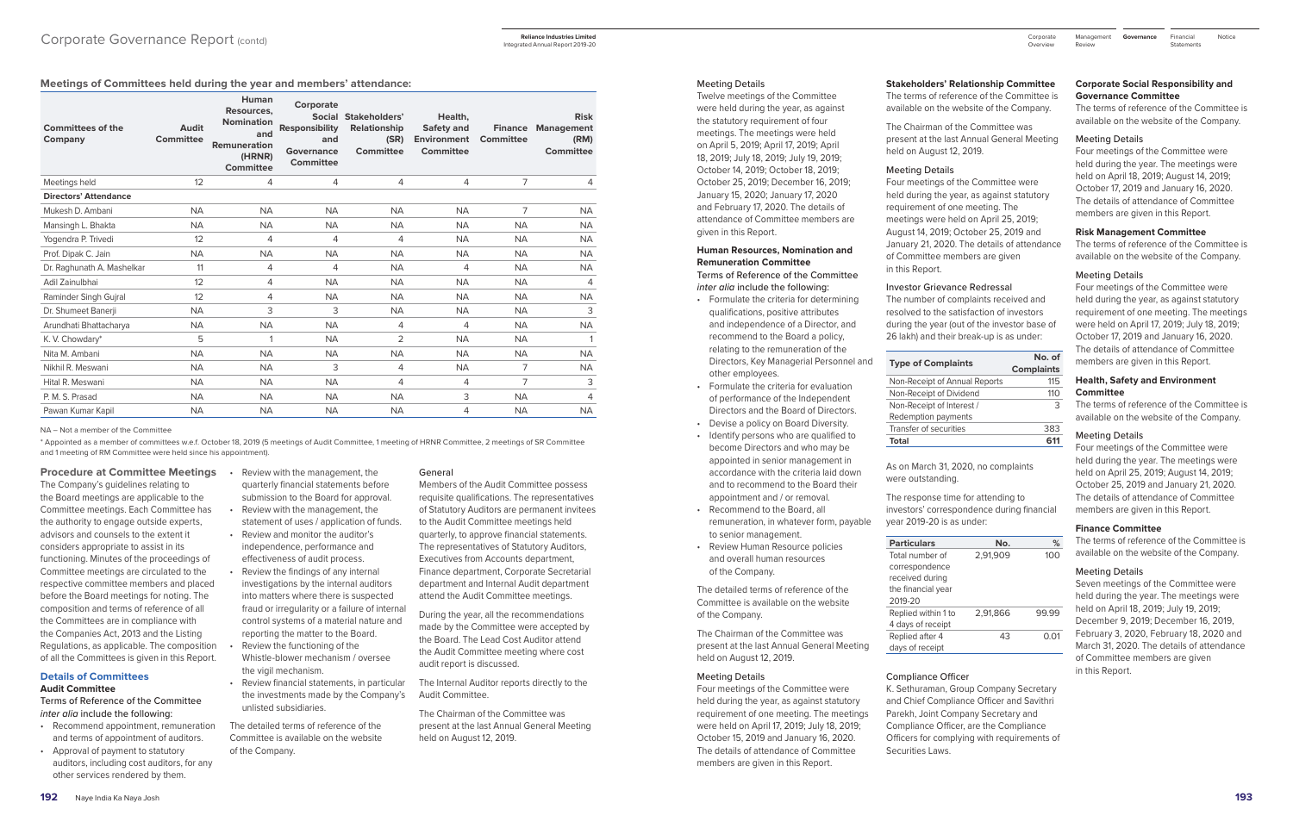#### **Meetings of Committees held during the year and members' attendance:**

| <b>Committees of the</b><br>Company | <b>Audit</b><br><b>Committee</b> | Human<br>Resources,<br><b>Nomination</b><br>and<br>Remuneration<br>(HRNR)<br><b>Committee</b> | Corporate<br><b>Responsibility</b><br>and<br>Governance<br><b>Committee</b> | Social Stakeholders'<br><b>Relationship</b><br>(SR)<br><b>Committee</b> | Health,<br><b>Safety and</b><br><b>Environment</b><br><b>Committee</b> | <b>Finance</b><br><b>Committee</b> | <b>Risk</b><br><b>Management</b><br>(RM)<br><b>Committee</b> |
|-------------------------------------|----------------------------------|-----------------------------------------------------------------------------------------------|-----------------------------------------------------------------------------|-------------------------------------------------------------------------|------------------------------------------------------------------------|------------------------------------|--------------------------------------------------------------|
| Meetings held                       | 12                               | $\overline{4}$                                                                                | 4                                                                           | 4                                                                       | 4                                                                      | 7                                  | 4                                                            |
| <b>Directors' Attendance</b>        |                                  |                                                                                               |                                                                             |                                                                         |                                                                        |                                    |                                                              |
| Mukesh D. Ambani                    | <b>NA</b>                        | <b>NA</b>                                                                                     | <b>NA</b>                                                                   | <b>NA</b>                                                               | <b>NA</b>                                                              | 7                                  | <b>NA</b>                                                    |
| Mansingh L. Bhakta                  | <b>NA</b>                        | <b>NA</b>                                                                                     | <b>NA</b>                                                                   | <b>NA</b>                                                               | <b>NA</b>                                                              | <b>NA</b>                          | <b>NA</b>                                                    |
| Yogendra P. Trivedi                 | 12                               | $\overline{4}$                                                                                | 4                                                                           | 4                                                                       | <b>NA</b>                                                              | <b>NA</b>                          | <b>NA</b>                                                    |
| Prof. Dipak C. Jain                 | <b>NA</b>                        | <b>NA</b>                                                                                     | <b>NA</b>                                                                   | <b>NA</b>                                                               | <b>NA</b>                                                              | <b>NA</b>                          | <b>NA</b>                                                    |
| Dr. Raghunath A. Mashelkar          | 11                               | $\overline{4}$                                                                                | 4                                                                           | <b>NA</b>                                                               | 4                                                                      | <b>NA</b>                          | <b>NA</b>                                                    |
| Adil Zainulbhai                     | 12                               | 4                                                                                             | <b>NA</b>                                                                   | <b>NA</b>                                                               | <b>NA</b>                                                              | <b>NA</b>                          | 4                                                            |
| Raminder Singh Gujral               | 12                               | 4                                                                                             | <b>NA</b>                                                                   | <b>NA</b>                                                               | <b>NA</b>                                                              | <b>NA</b>                          | <b>NA</b>                                                    |
| Dr. Shumeet Banerji                 | <b>NA</b>                        | 3                                                                                             | 3                                                                           | <b>NA</b>                                                               | <b>NA</b>                                                              | <b>NA</b>                          | 3                                                            |
| Arundhati Bhattacharya              | <b>NA</b>                        | <b>NA</b>                                                                                     | <b>NA</b>                                                                   | 4                                                                       | 4                                                                      | <b>NA</b>                          | <b>NA</b>                                                    |
| K. V. Chowdary*                     | 5                                | 1                                                                                             | <b>NA</b>                                                                   | $\overline{2}$                                                          | <b>NA</b>                                                              | <b>NA</b>                          |                                                              |
| Nita M. Ambani                      | <b>NA</b>                        | <b>NA</b>                                                                                     | <b>NA</b>                                                                   | <b>NA</b>                                                               | <b>NA</b>                                                              | <b>NA</b>                          | <b>NA</b>                                                    |
| Nikhil R. Meswani                   | <b>NA</b>                        | <b>NA</b>                                                                                     | 3                                                                           | 4                                                                       | <b>NA</b>                                                              | 7                                  | <b>NA</b>                                                    |
| Hital R. Meswani                    | <b>NA</b>                        | <b>NA</b>                                                                                     | <b>NA</b>                                                                   | 4                                                                       | 4                                                                      | 7                                  | 3                                                            |
| P. M. S. Prasad                     | <b>NA</b>                        | <b>NA</b>                                                                                     | <b>NA</b>                                                                   | <b>NA</b>                                                               | 3                                                                      | <b>NA</b>                          | 4                                                            |
| Pawan Kumar Kapil                   | <b>NA</b>                        | <b>NA</b>                                                                                     | <b>NA</b>                                                                   | <b>NA</b>                                                               | 4                                                                      | <b>NA</b>                          | <b>NA</b>                                                    |

NA – Not a member of the Committee

\* Appointed as a member of committees w.e.f. October 18, 2019 (5 meetings of Audit Committee, 1 meeting of HRNR Committee, 2 meetings of SR Committee and 1 meeting of RM Committee were held since his appointment).

#### **Procedure at Committee Meetings • Review with the management, the**

The Company's guidelines relating to the Board meetings are applicable to the Committee meetings. Each Committee has the authority to engage outside experts, advisors and counsels to the extent it considers appropriate to assist in its functioning. Minutes of the proceedings of Committee meetings are circulated to the respective committee members and placed before the Board meetings for noting. The composition and terms of reference of all the Committees are in compliance with the Companies Act, 2013 and the Listing Regulations, as applicable. The composition of all the Committees is given in this Report.

#### **Details of Committees Audit Committee**

Terms of Reference of the Committee *inter alia* include the following:

- Recommend appointment, remuneration and terms of appointment of auditors.
- Approval of payment to statutory auditors, including cost auditors, for any other services rendered by them.
- quarterly financial statements before submission to the Board for approval.
- Review with the management, the statement of uses / application of funds.
- Review and monitor the auditor's independence, performance and effectiveness of audit process.
- Review the findings of any internal investigations by the internal auditors into matters where there is suspected fraud or irregularity or a failure of internal control systems of a material nature and reporting the matter to the Board.
- Review the functioning of the Whistle-blower mechanism / oversee the vigil mechanism.
- Review financial statements, in particular the investments made by the Company's unlisted subsidiaries.

The detailed terms of reference of the Committee is available on the website of the Company.

#### General

Members of the Audit Committee possess requisite qualifications. The representatives of Statutory Auditors are permanent invitees to the Audit Committee meetings held quarterly, to approve financial statements. The representatives of Statutory Auditors, Executives from Accounts department, Finance department, Corporate Secretarial department and Internal Audit department attend the Audit Committee meetings.

During the year, all the recommendations made by the Committee were accepted by the Board. The Lead Cost Auditor attend the Audit Committee meeting where cost audit report is discussed.

The Internal Auditor reports directly to the Audit Committee.

The Chairman of the Committee was present at the last Annual General Meeting held on August 12, 2019.

#### Meeting Details

Twelve meetings of the Committee were held during the year, as against the statutory requirement of four meetings. The meetings were held on April 5, 2019; April 17, 2019; April 18, 2019; July 18, 2019; July 19, 2019; October 14, 2019; October 18, 2019; October 25, 2019; December 16, 2019; January 15, 2020; January 17, 2020 and February 17, 2020. The details of attendance of Committee members are given in this Report.

## **Human Resources, Nomination and Remuneration Committee**

Terms of Reference of the Committee *inter alia* include the following:

Financial Notice **Statements** 

- Formulate the criteria for determining qualifications, positive attributes and independence of a Director, and recommend to the Board a policy, relating to the remuneration of the Directors, Key Managerial Personnel and other employees.
- Formulate the criteria for evaluation of performance of the Independent Directors and the Board of Directors.
- Devise a policy on Board Diversity.
- Identify persons who are qualified to become Directors and who may be appointed in senior management in accordance with the criteria laid down and to recommend to the Board their appointment and / or removal.
- Recommend to the Board, all remuneration, in whatever form, payable to senior management.
- Review Human Resource policies and overall human resources of the Company.

The detailed terms of reference of the Committee is available on the website of the Company.

The Chairman of the Committee was present at the last Annual General Meeting held on August 12, 2019.

#### Meeting Details

Four meetings of the Committee were held during the year, as against statutory requirement of one meeting. The meetings were held on April 17, 2019; July 18, 2019; October 15, 2019 and January 16, 2020. The details of attendance of Committee members are given in this Report.

#### **Stakeholders' Relationship Committee**

The terms of reference of the Committee is available on the website of the Company.

The Chairman of the Committee was present at the last Annual General Meeting held on August 12, 2019.

#### Meeting Details

Four meetings of the Committee were held during the year, as against statutory requirement of one meeting. The meetings were held on April 25, 2019; August 14, 2019; October 25, 2019 and January 21, 2020. The details of attendance of Committee members are given in this Report.

#### Investor Grievance Redressal

The number of complaints received and resolved to the satisfaction of investors during the year (out of the investor base of 26 lakh) and their break-up is as under:

#### **Type of Complaints**

| No. of            |
|-------------------|
| <b>Complaints</b> |
| 11.5              |
| 110               |
| 3                 |
|                   |
| 383               |
| 611               |
|                   |

| Total                         |      |
|-------------------------------|------|
| Transfer of securities        | 383  |
| Redemption payments           |      |
| Non-Receipt of Interest /     | З    |
| Non-Receipt of Dividend       | 11 O |
| Non-Receipt of Annual Reports | 115  |

As on March 31, 2020, no complaints were outstanding.

The response time for attending to investors' correspondence during financial year 2019-20 is as under:

| <b>Particulars</b>  | Nο.      | %     |
|---------------------|----------|-------|
| Total number of     | 2,91,909 | 100   |
| correspondence      |          |       |
| received during     |          |       |
| the financial year  |          |       |
| 2019-20             |          |       |
| Replied within 1 to | 2.91.866 | 99.99 |
| 4 days of receipt   |          |       |
| Replied after 4     | 43       | O.O1  |
| days of receipt     |          |       |

#### Compliance Officer

K. Sethuraman, Group Company Secretary and Chief Compliance Officer and Savithri Parekh, Joint Company Secretary and Compliance Officer, are the Compliance Officers for complying with requirements of Securities Laws.

#### **Corporate Social Responsibility and Governance Committee**

The terms of reference of the Committee is available on the website of the Company.

#### Meeting Details

Four meetings of the Committee were held during the year. The meetings were held on April 18, 2019; August 14, 2019; October 17, 2019 and January 16, 2020. The details of attendance of Committee members are given in this Report.

#### **Risk Management Committee**

The terms of reference of the Committee is available on the website of the Company.

#### Meeting Details

Four meetings of the Committee were held during the year, as against statutory requirement of one meeting. The meetings were held on April 17, 2019; July 18, 2019; October 17, 2019 and January 16, 2020. The details of attendance of Committee members are given in this Report.

#### **Health, Safety and Environment Committee**

The terms of reference of the Committee is available on the website of the Company.

#### Meeting Details

Four meetings of the Committee were held during the year. The meetings were held on April 25, 2019; August 14, 2019; October 25, 2019 and January 21, 2020. The details of attendance of Committee members are given in this Report.

#### **Finance Committee**

The terms of reference of the Committee is available on the website of the Company.

## Meeting Details

Seven meetings of the Committee were held during the year. The meetings were held on April 18, 2019; July 19, 2019; December 9, 2019; December 16, 2019, February 3, 2020, February 18, 2020 and March 31, 2020. The details of attendance of Committee members are given in this Report.

Management Corporate **Governance** Review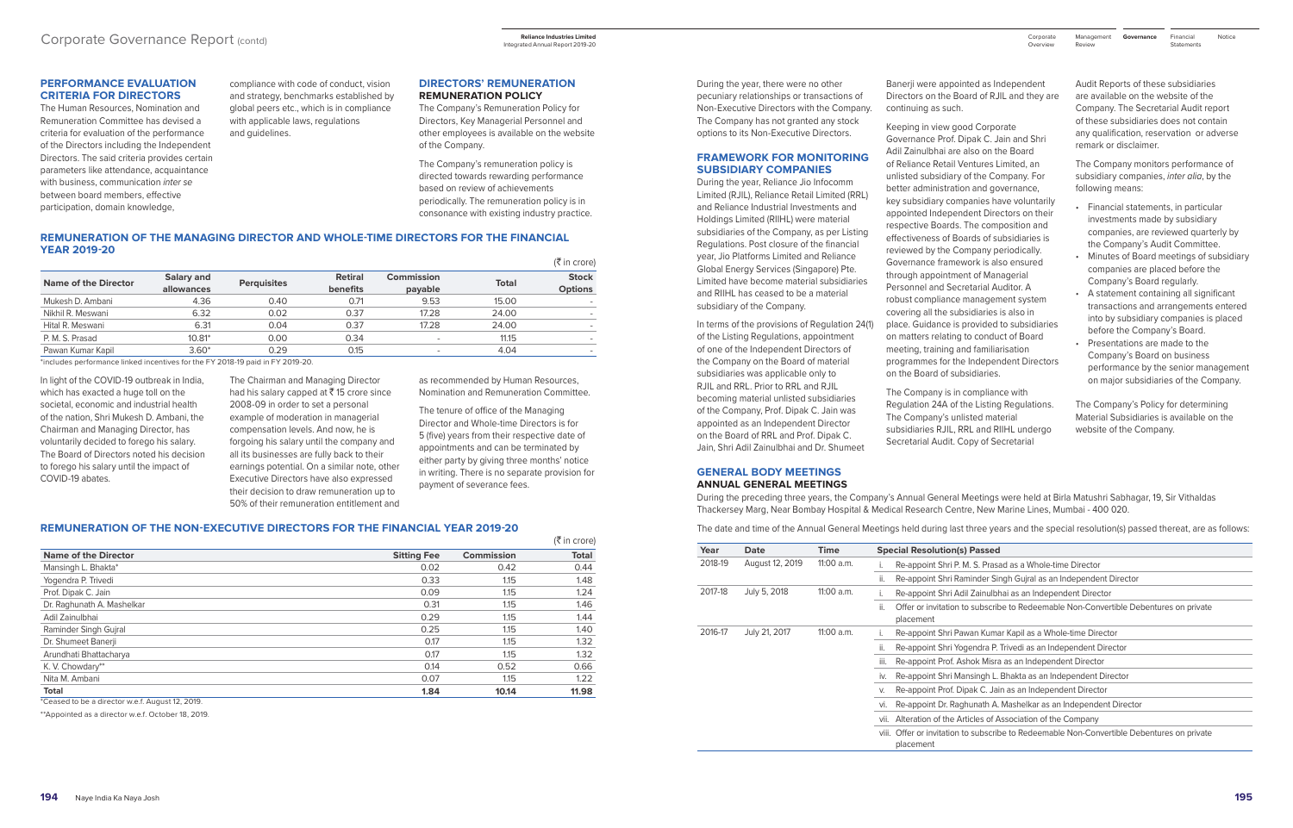#### **PERFORMANCE EVALUATION CRITERIA FOR DIRECTORS**

The Human Resources, Nomination and Remuneration Committee has devised a criteria for evaluation of the performance of the Directors including the Independent Directors. The said criteria provides certain parameters like attendance, acquaintance with business, communication *inter se* between board members, effective participation, domain knowledge,

#### **REMUNERATION OF THE MANAGING DIRECTOR AND WHOLE-TIME DIRECTORS FOR THE FINANCIAL YEAR 2019-20**  $(\frac{1}{2})$  in crore)

compliance with code of conduct, vision and strategy, benchmarks established by global peers etc., which is in compliance with applicable laws, regulations and guidelines.

#### **DIRECTORS' REMUNERATION REMUNERATION POLICY**

The Company's Remuneration Policy for Directors, Key Managerial Personnel and other employees is available on the website of the Company.

The Company's remuneration policy is directed towards rewarding performance based on review of achievements periodically. The remuneration policy is in consonance with existing industry practice.

|                      |                          |                    |                            |                          |              | $\left  \right.$ $\left  \right.$ $\left  \right.$ $\left  \right.$ $\left  \right.$ $\left  \right.$ $\left  \right.$ $\left  \right.$ $\left  \right.$ $\left  \right.$ $\left  \right.$ |
|----------------------|--------------------------|--------------------|----------------------------|--------------------------|--------------|--------------------------------------------------------------------------------------------------------------------------------------------------------------------------------------------|
| Name of the Director | Salary and<br>allowances | <b>Perquisites</b> | <b>Retiral</b><br>benefits | Commission<br>payable    | <b>Total</b> | <b>Stock</b><br><b>Options</b>                                                                                                                                                             |
| Mukesh D. Ambani     | 4.36                     | 0.40               | 0.71                       | 9.53                     | 15.00        |                                                                                                                                                                                            |
| Nikhil R. Meswani    | 6.32                     | 0.02               | 0.37                       | 17.28                    | 24.00        |                                                                                                                                                                                            |
| Hital R. Meswani     | 6.31                     | 0.04               | 0.37                       | 17.28                    | 24.00        |                                                                                                                                                                                            |
| P. M. S. Prasad      | $10.81*$                 | 0.00               | 0.34                       | $\overline{\phantom{0}}$ | 11.15        |                                                                                                                                                                                            |
| Pawan Kumar Kapil    | $3.60*$                  | 0.29               | 0.15                       | $\sim$                   | 4.04         |                                                                                                                                                                                            |

\*includes performance linked incentives for the FY 2018-19 paid in FY 2019-20.

In light of the COVID-19 outbreak in India, which has exacted a huge toll on the societal, economic and industrial health of the nation, Shri Mukesh D. Ambani, the Chairman and Managing Director, has voluntarily decided to forego his salary. The Board of Directors noted his decision to forego his salary until the impact of COVID-19 abates.

The Chairman and Managing Director had his salary capped at  $\bar{z}$  15 crore since 2008-09 in order to set a personal example of moderation in managerial compensation levels. And now, he is forgoing his salary until the company and all its businesses are fully back to their earnings potential. On a similar note, other Executive Directors have also expressed their decision to draw remuneration up to 50% of their remuneration entitlement and as recommended by Human Resources, Nomination and Remuneration Committee.

The tenure of office of the Managing Director and Whole-time Directors is for 5 (five) years from their respective date of appointments and can be terminated by either party by giving three months' notice in writing. There is no separate provision for payment of severance fees.

#### **REMUNERATION OF THE NON-EXECUTIVE DIRECTORS FOR THE FINANCIAL YEAR 2019-20**

|                    |                   | $(5 \text{ in } \text{core})$ |
|--------------------|-------------------|-------------------------------|
| <b>Sitting Fee</b> | <b>Commission</b> | <b>Total</b>                  |
| 0.02               | 0.42              | 0.44                          |
| 0.33               | 1.15              | 1.48                          |
| 0.09               | 1.15              | 1.24                          |
| 0.31               | 1.15              | 1.46                          |
| 0.29               | 1.15              | 1.44                          |
| 0.25               | 1.15              | 1.40                          |
| 0.17               | 1.15              | 1.32                          |
| 0.17               | 1.15              | 1.32                          |
| 0.14               | 0.52              | 0.66                          |
| 0.07               | 1.15              | 1.22                          |
| 1.84               | 10.14             | 11.98                         |
|                    |                   |                               |

\*Ceased to be a director w.e.f. August 12, 2019.

\*\*Appointed as a director w.e.f. October 18, 2019.

During the year, there were no other pecuniary relationships or transactions of Non-Executive Directors with the Company. The Company has not granted any stock options to its Non-Executive Directors.

#### **FRAMEWORK FOR MONITORING SUBSIDIARY COMPANIES**

During the year, Reliance Jio Infocomm Limited (RJIL), Reliance Retail Limited (RRL) and Reliance Industrial Investments and Holdings Limited (RIIHL) were material subsidiaries of the Company, as per Listing Regulations. Post closure of the financial year, Jio Platforms Limited and Reliance Global Energy Services (Singapore) Pte. Limited have become material subsidiaries and RIIHL has ceased to be a material subsidiary of the Company.

Financial Notice **Statements** 

In terms of the provisions of Regulation 24(1) of the Listing Regulations, appointment of one of the Independent Directors of the Company on the Board of material subsidiaries was applicable only to RJIL and RRL. Prior to RRL and RJIL becoming material unlisted subsidiaries of the Company, Prof. Dipak C. Jain was appointed as an Independent Director on the Board of RRL and Prof. Dipak C. Jain, Shri Adil Zainulbhai and Dr. Shumeet

Banerji were appointed as Independent Directors on the Board of RJIL and they are

continuing as such.

Keeping in view good Corporate Governance Prof. Dipak C. Jain and Shri Adil Zainulbhai are also on the Board of Reliance Retail Ventures Limited, an unlisted subsidiary of the Company. For better administration and governance, key subsidiary companies have voluntarily appointed Independent Directors on their respective Boards. The composition and effectiveness of Boards of subsidiaries is reviewed by the Company periodically. Governance framework is also ensured through appointment of Managerial Personnel and Secretarial Auditor. A robust compliance management system covering all the subsidiaries is also in place. Guidance is provided to subsidiaries on matters relating to conduct of Board meeting, training and familiarisation

programmes for the Independent Directors on the Board of subsidiaries. The Company is in compliance with Regulation 24A of the Listing Regulations. The Company's unlisted material

subsidiaries RJIL, RRL and RIIHL undergo Secretarial Audit. Copy of Secretarial

Audit Reports of these subsidiaries are available on the website of the Company. The Secretarial Audit report of these subsidiaries does not contain any qualification, reservation or adverse remark or disclaimer.

The Company monitors performance of subsidiary companies, *inter alia*, by the following means:

- Financial statements, in particular investments made by subsidiary companies, are reviewed quarterly by the Company's Audit Committee.
- Minutes of Board meetings of subsidiary companies are placed before the Company's Board regularly.
- A statement containing all significant transactions and arrangements entered into by subsidiary companies is placed before the Company's Board.
- Presentations are made to the Company's Board on business performance by the senior management on major subsidiaries of the Company.

The Company's Policy for determining Material Subsidiaries is available on the website of the Company.

**GENERAL BODY MEETINGS ANNUAL GENERAL MEETINGS**

During the preceding three years, the Company's Annual General Meetings were held at Birla Matushri Sabhagar, 19, Sir Vithaldas Thackersey Marg, Near Bombay Hospital & Medical Research Centre, New Marine Lines, Mumbai - 400 020.

The date and time of the Annual General Meetings held during last three years and the special resolution(s) passed thereat, are as follows:

| Year    | Date                         | Time         | <b>Special Resolution(s) Passed</b>                                                                      |
|---------|------------------------------|--------------|----------------------------------------------------------------------------------------------------------|
| 2018-19 | August 12, 2019              | 11:00 a.m.   | Re-appoint Shri P. M. S. Prasad as a Whole-time Director                                                 |
|         |                              |              | ii.<br>Re-appoint Shri Raminder Singh Guiral as an Independent Director                                  |
| 2017-18 | July 5, 2018<br>$11:00$ a.m. |              | Re-appoint Shri Adil Zainulbhai as an Independent Director                                               |
|         |                              |              | ii.<br>Offer or invitation to subscribe to Redeemable Non-Convertible Debentures on private<br>placement |
| 2016-17 | July 21, 2017                | $11:00$ a.m. | Re-appoint Shri Pawan Kumar Kapil as a Whole-time Director                                               |
|         |                              |              | ii.<br>Re-appoint Shri Yogendra P. Trivedi as an Independent Director                                    |
|         |                              |              | Re-appoint Prof. Ashok Misra as an Independent Director<br>iii.                                          |
|         |                              |              | Re-appoint Shri Mansingh L. Bhakta as an Independent Director<br>İV.                                     |
|         |                              |              | Re-appoint Prof. Dipak C. Jain as an Independent Director<br>V.                                          |
|         |                              |              | Re-appoint Dr. Raghunath A. Mashelkar as an Independent Director<br>VI.                                  |
|         |                              |              | vii. Alteration of the Articles of Association of the Company                                            |
|         |                              |              | viii. Offer or invitation to subscribe to Redeemable Non-Convertible Debentures on private<br>placement  |

Integrated Annual Report 2019-20

Review

Management Corporate **Governance**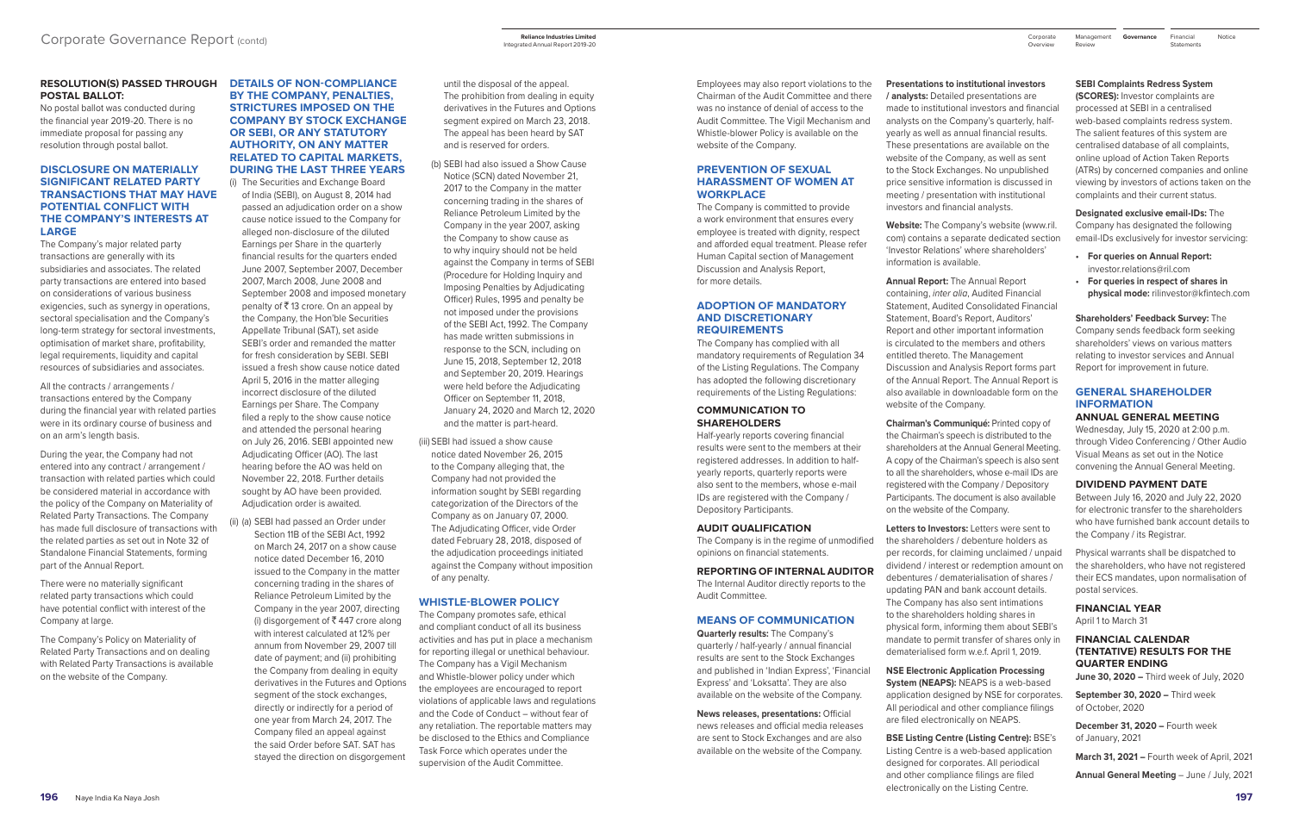#### **RESOLUTION(S) PASSED THROUGH DETAILS OF NON-COMPLIANCE POSTAL BALLOT:**

No postal ballot was conducted during the financial year 2019-20. There is no immediate proposal for passing any resolution through postal ballot.

#### **DISCLOSURE ON MATERIALLY SIGNIFICANT RELATED PARTY TRANSACTIONS THAT MAY HAVE POTENTIAL CONFLICT WITH THE COMPANY'S INTERESTS AT LARGE**

The Company's major related party transactions are generally with its subsidiaries and associates. The related party transactions are entered into based on considerations of various business exigencies, such as synergy in operations, sectoral specialisation and the Company's long-term strategy for sectoral investments, optimisation of market share, profitability, legal requirements, liquidity and capital resources of subsidiaries and associates.

All the contracts / arrangements / transactions entered by the Company during the financial year with related parties were in its ordinary course of business and on an arm's length basis.

During the year, the Company had not entered into any contract / arrangement / transaction with related parties which could be considered material in accordance with the policy of the Company on Materiality of Related Party Transactions. The Company has made full disclosure of transactions with the related parties as set out in Note 32 of Standalone Financial Statements, forming part of the Annual Report.

There were no materially significant related party transactions which could have potential conflict with interest of the Company at large.

The Company's Policy on Materiality of Related Party Transactions and on dealing with Related Party Transactions is available on the website of the Company.

## **BY THE COMPANY, PENALTIES, STRICTURES IMPOSED ON THE COMPANY BY STOCK EXCHANGE OR SEBI, OR ANY STATUTORY AUTHORITY, ON ANY MATTER RELATED TO CAPITAL MARKETS, DURING THE LAST THREE YEARS**

(i) The Securities and Exchange Board of India (SEBI), on August 8, 2014 had passed an adjudication order on a show cause notice issued to the Company for alleged non-disclosure of the diluted Earnings per Share in the quarterly financial results for the quarters ended June 2007, September 2007, December 2007, March 2008, June 2008 and September 2008 and imposed monetary penalty of  $\bar{\tau}$  13 crore. On an appeal by the Company, the Hon'ble Securities Appellate Tribunal (SAT), set aside SEBI's order and remanded the matter for fresh consideration by SEBI. SEBI issued a fresh show cause notice dated April 5, 2016 in the matter alleging incorrect disclosure of the diluted Earnings per Share. The Company filed a reply to the show cause notice and attended the personal hearing on July 26, 2016. SEBI appointed new Adjudicating Officer (AO). The last hearing before the AO was held on November 22, 2018. Further details sought by AO have been provided. Adjudication order is awaited.

(ii) (a) SEBI had passed an Order under Section 11B of the SEBI Act, 1992 on March 24, 2017 on a show cause notice dated December 16, 2010 issued to the Company in the matter concerning trading in the shares of Reliance Petroleum Limited by the Company in the year 2007, directing (i) disgorgement of  $\bar{\bar{\xi}}$  447 crore along with interest calculated at 12% per annum from November 29, 2007 till date of payment; and (ii) prohibiting the Company from dealing in equity derivatives in the Futures and Options segment of the stock exchanges, directly or indirectly for a period of one year from March 24, 2017. The Company filed an appeal against the said Order before SAT. SAT has stayed the direction on disgorgement

until the disposal of the appeal. The prohibition from dealing in equity derivatives in the Futures and Options segment expired on March 23, 2018. The appeal has been heard by SAT and is reserved for orders.

- (b) SEBI had also issued a Show Cause Notice (SCN) dated November 21, 2017 to the Company in the matter concerning trading in the shares of Reliance Petroleum Limited by the Company in the year 2007, asking the Company to show cause as to why inquiry should not be held against the Company in terms of SEBI (Procedure for Holding Inquiry and Imposing Penalties by Adjudicating Officer) Rules, 1995 and penalty be not imposed under the provisions of the SEBI Act, 1992. The Company has made written submissions in response to the SCN, including on June 15, 2018, September 12, 2018 and September 20, 2019. Hearings were held before the Adjudicating Officer on September 11, 2018, January 24, 2020 and March 12, 2020 and the matter is part-heard.
- (iii) SEBI had issued a show cause notice dated November 26, 2015 to the Company alleging that, the Company had not provided the information sought by SEBI regarding categorization of the Directors of the Company as on January 07, 2000. The Adjudicating Officer, vide Order dated February 28, 2018, disposed of the adjudication proceedings initiated against the Company without imposition of any penalty.

#### **WHISTLE-BLOWER POLICY**

The Company promotes safe, ethical and compliant conduct of all its business activities and has put in place a mechanism for reporting illegal or unethical behaviour. The Company has a Vigil Mechanism and Whistle-blower policy under which the employees are encouraged to report violations of applicable laws and regulations and the Code of Conduct – without fear of any retaliation. The reportable matters may be disclosed to the Ethics and Compliance Task Force which operates under the supervision of the Audit Committee.

Financial Notice **Statements** 

- 
- 
- 
- 
- 
- 
- 

Employees may also report violations to the Chairman of the Audit Committee and there was no instance of denial of access to the Audit Committee. The Vigil Mechanism and Whistle-blower Policy is available on the website of the Company.

#### **PREVENTION OF SEXUAL HARASSMENT OF WOMEN AT WORKPLACE**

The Company is committed to provide a work environment that ensures every employee is treated with dignity, respect and afforded equal treatment. Please refer Human Capital section of Management Discussion and Analysis Report, for more details.

#### **ADOPTION OF MANDATORY AND DISCRETIONARY REQUIREMENTS**

The Company has complied with all mandatory requirements of Regulation 34 of the Listing Regulations. The Company has adopted the following discretionary requirements of the Listing Regulations:

#### **COMMUNICATION TO SHAREHOLDERS**

Half-yearly reports covering financial results were sent to the members at their registered addresses. In addition to halfyearly reports, quarterly reports were also sent to the members, whose e-mail IDs are registered with the Company / Depository Participants.

#### **AUDIT QUALIFICATION**

The Company is in the regime of unmodified opinions on financial statements.

**REPORTING OF INTERNAL AUDITOR**

The Internal Auditor directly reports to the Audit Committee.

## **MEANS OF COMMUNICATION**

**Quarterly results:** The Company's quarterly / half-yearly / annual financial results are sent to the Stock Exchanges and published in 'Indian Express', 'Financial Express' and 'Loksatta'. They are also available on the website of the Company.

**News releases, presentations:** Official news releases and official media releases are sent to Stock Exchanges and are also available on the website of the Company.

**Presentations to institutional investors / analysts:** Detailed presentations are made to institutional investors and financial analysts on the Company's quarterly, halfyearly as well as annual financial results. These presentations are available on the website of the Company, as well as sent to the Stock Exchanges. No unpublished price sensitive information is discussed in meeting / presentation with institutional investors and financial analysts.

**Website:** The Company's website (www.ril. com) contains a separate dedicated section 'Investor Relations' where shareholders' information is available.

**Annual Report:** The Annual Report containing, *inter alia*, Audited Financial Statement, Audited Consolidated Financial Statement, Board's Report, Auditors' Report and other important information is circulated to the members and others entitled thereto. The Management Discussion and Analysis Report forms part of the Annual Report. The Annual Report is also available in downloadable form on the website of the Company.

**Chairman's Communiqué:** Printed copy of the Chairman's speech is distributed to the shareholders at the Annual General Meeting. A copy of the Chairman's speech is also sent to all the shareholders, whose e-mail IDs are registered with the Company / Depository Participants. The document is also available on the website of the Company.

**Letters to Investors:** Letters were sent to the shareholders / debenture holders as per records, for claiming unclaimed / unpaid dividend / interest or redemption amount on debentures / dematerialisation of shares / updating PAN and bank account details. The Company has also sent intimations to the shareholders holding shares in physical form, informing them about SEBI's mandate to permit transfer of shares only in dematerialised form w.e.f. April 1, 2019.

**NSE Electronic Application Processing System (NEAPS):** NEAPS is a web-based application designed by NSE for corporates. All periodical and other compliance filings are filed electronically on NEAPS.

**BSE Listing Centre (Listing Centre):** BSE's Listing Centre is a web-based application designed for corporates. All periodical and other compliance filings are filed electronically on the Listing Centre.

## **SEBI Complaints Redress System**

**(SCORES):** Investor complaints are processed at SEBI in a centralised web-based complaints redress system. The salient features of this system are centralised database of all complaints, online upload of Action Taken Reports (ATRs) by concerned companies and online viewing by investors of actions taken on the complaints and their current status.

**Designated exclusive email-IDs:** The Company has designated the following email-IDs exclusively for investor servicing:

- **• For queries on Annual Report:** investor[.relations@ril.com](mailto:relations@ril.com)
- **• For queries in respect of shares in physical mode:** [rilinvestor@kfintech.com](mailto:rilinvestor@kfintech.com)

**Shareholders' Feedback Survey:** The Company sends feedback form seeking shareholders' views on various matters relating to investor services and Annual Report for improvement in future.

## **GENERAL SHAREHOLDER INFORMATION**

#### **ANNUAL GENERAL MEETING**

Wednesday, July 15, 2020 at 2:00 p.m. through Video Conferencing / Other Audio Visual Means as set out in the Notice convening the Annual General Meeting.

#### **DIVIDEND PAYMENT DATE**

Between July 16, 2020 and July 22, 2020 for electronic transfer to the shareholders who have furnished bank account details to the Company / its Registrar.

Physical warrants shall be dispatched to the shareholders, who have not registered their ECS mandates, upon normalisation of postal services.

# **FINANCIAL YEAR**

April 1 to March 31

#### **FINANCIAL CALENDAR (TENTATIVE) RESULTS FOR THE QUARTER ENDING**

**June 30, 2020 –** Third week of July, 2020

**September 30, 2020 –** Third week of October, 2020

**December 31, 2020 –** Fourth week of January, 2021

**March 31, 2021 –** Fourth week of April, 2021

**Annual General Meeting** – June / July, 2021

Integrated Annual Report 2019-20

Review

Management Corporate **Governance**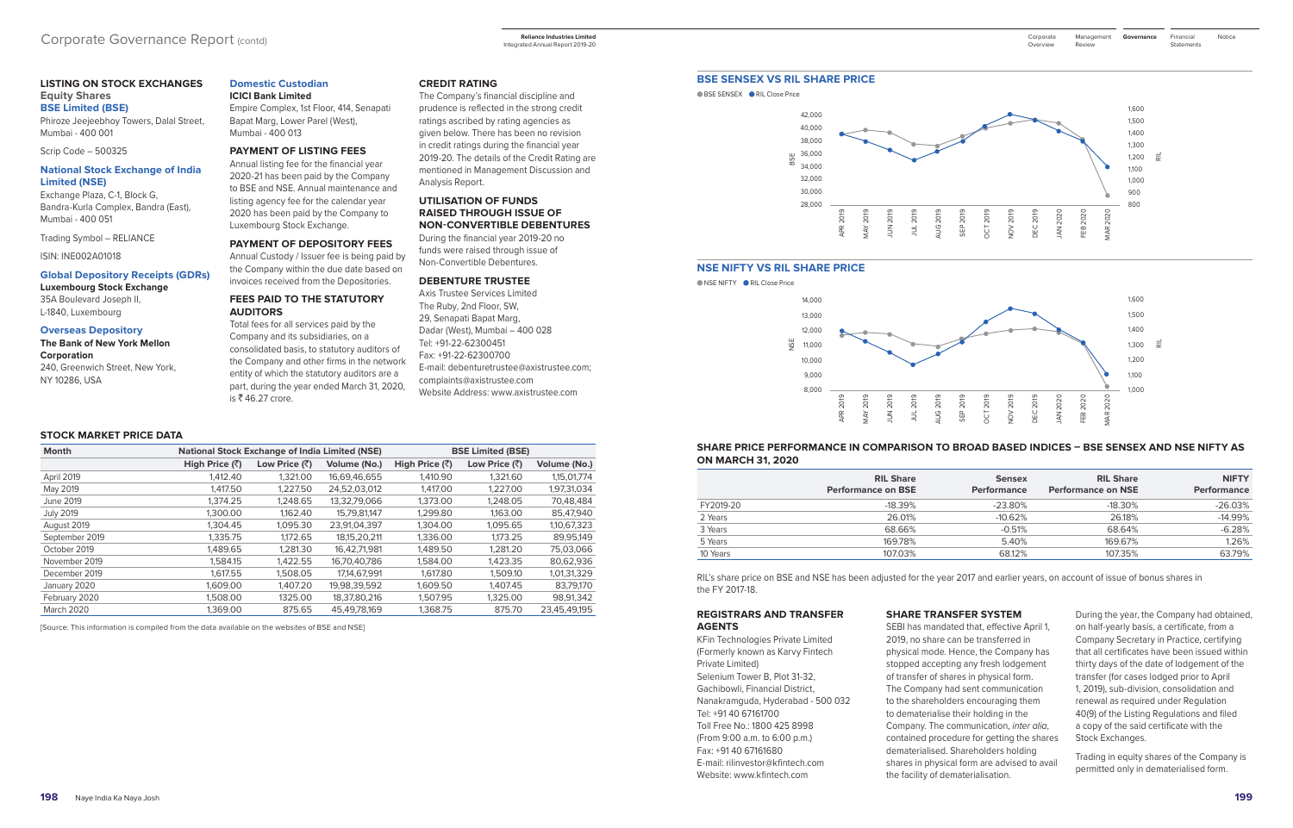## **LISTING ON STOCK EXCHANGES Equity Shares**

**BSE Limited (BSE)** Phiroze Jeejeebhoy Towers, Dalal Street, Mumbai - 400 001

Scrip Code – 500325

#### **National Stock Exchange of India Limited (NSE)**

Exchange Plaza, C-1, Block G, Bandra-Kurla Complex, Bandra (East), Mumbai - 400 051

Trading Symbol – RELIANCE

ISIN: INE002A01018

#### **Global Depository Receipts (GDRs) Luxembourg Stock Exchange**

35A Boulevard Joseph II, L-1840, Luxembourg

**Overseas Depository**

## **The Bank of New York Mellon Corporation**

240, Greenwich Street, New York, NY 10286, USA

Total fees for all services paid by the Company and its subsidiaries, on a consolidated basis, to statutory auditors of the Company and other firms in the network entity of which the statutory auditors are a part, during the year ended March 31, 2020, is  $\overline{\xi}$  46.27 crore.

#### **Domestic Custodian ICICI Bank Limited**

Empire Complex, 1st Floor, 414, Senapati Bapat Marg, Lower Parel (West), Mumbai - 400 013

#### **PAYMENT OF LISTING FEES**

Annual listing fee for the financial year 2020-21 has been paid by the Company to BSE and NSE. Annual maintenance and listing agency fee for the calendar year 2020 has been paid by the Company to Luxembourg Stock Exchange.

#### **PAYMENT OF DEPOSITORY FEES**

Annual Custody / Issuer fee is being paid by the Company within the due date based on invoices received from the Depositories.

## **FEES PAID TO THE STATUTORY AUDITORS**

**CREDIT RATING**

The Company's financial discipline and prudence is reflected in the strong credit ratings ascribed by rating agencies as given below. There has been no revision in credit ratings during the financial year 2019-20. The details of the Credit Rating are mentioned in Management Discussion and

● BSE SENSEX ● RIL Close Price



Analysis Report.

**UTILISATION OF FUNDS RAISED THROUGH ISSUE OF NON-CONVERTIBLE DEBENTURES** During the financial year 2019-20 no funds were raised through issue of Non-Convertible Debentures.

■ NSE NIFTY ■ RIL Close Price



**DEBENTURE TRUSTEE** Axis Trustee Services Limited The Ruby, 2nd Floor, SW, 29, Senapati Bapat Marg, Dadar (West), Mumbai – 400 028 Tel: +91-22-62300451 Fax: +91-22-62300700 E-mail: debenturetrustee@axistrustee.com; complaints@axistrustee.com Website Address: www.axistrustee.com

#### **STOCK MARKET PRICE DATA**

| <b>Month</b>      |                        | <b>National Stock Exchange of India Limited (NSE)</b> |              |                            | <b>BSE Limited (BSE)</b> |              |
|-------------------|------------------------|-------------------------------------------------------|--------------|----------------------------|--------------------------|--------------|
|                   | High Price $(\bar{z})$ | Low Price $(\bar{z})$                                 | Volume (No.) | High Price $(\bar{\zeta})$ | Low Price (₹)            | Volume (No.) |
| April 2019        | 1,412,40               | 1.321.00                                              | 16,69,46,655 | 1,410.90                   | 1.321.60                 | 1,15,01,774  |
| May 2019          | 1.417.50               | 1.227.50                                              | 24,52,03,012 | 1.417.00                   | 1.227.00                 | 1,97,31,034  |
| June 2019         | 1,374.25               | 1,248.65                                              | 13,32,79,066 | 1,373.00                   | 1,248.05                 | 70,48,484    |
| <b>July 2019</b>  | 1.300.00               | 1,162.40                                              | 15,79,81,147 | 1,299.80                   | 1,163.00                 | 85,47,940    |
| August 2019       | 1.304.45               | 1.095.30                                              | 23,91,04,397 | 1.304.00                   | 1.095.65                 | 1,10,67,323  |
| September 2019    | 1.335.75               | 1.172.65                                              | 18.15.20.211 | 1.336.00                   | 1.173.25                 | 89.95.149    |
| October 2019      | 1,489.65               | 1,281.30                                              | 16,42,71,981 | 1,489.50                   | 1,281.20                 | 75,03,066    |
| November 2019     | 1.584.15               | 1.422.55                                              | 16,70,40,786 | 1,584.00                   | 1.423.35                 | 80,62,936    |
| December 2019     | 1.617.55               | 1,508.05                                              | 17,14,67,991 | 1,617.80                   | 1.509.10                 | 1,01,31,329  |
| January 2020      | 1,609.00               | 1.407.20                                              | 19,98,39,592 | 1.609.50                   | 1.407.45                 | 83,79,170    |
| February 2020     | 1,508.00               | 1325.00                                               | 18,37,80,216 | 1,507.95                   | 1,325.00                 | 98,91,342    |
| <b>March 2020</b> | 1.369.00               | 875.65                                                | 45,49,78,169 | 1,368.75                   | 875.70                   | 23,45,49,195 |

Financial Notice **Statements** 

[Source: This information is compiled from the data available on the websites of BSE and NSE]

#### **BSE SENSEX VS RIL SHARE PRICE**

#### **NSE NIFTY VS RIL SHARE PRICE**

#### **SHARE PRICE PERFORMANCE IN COMPARISON TO BROAD BASED INDICES – BSE SENSEX AND NSE NIFTY AS ON MARCH 31, 2020**

|           | <b>RIL Share</b><br><b>Performance on BSE</b> | <b>Sensex</b><br><b>Performance</b> | <b>RIL Share</b><br><b>Performance on NSE</b> | <b>NIFTY</b><br><b>Performance</b> |
|-----------|-----------------------------------------------|-------------------------------------|-----------------------------------------------|------------------------------------|
| FY2019-20 | $-18.39%$                                     | $-23.80%$                           | $-18.30\%$                                    | $-26.03%$                          |
| 2 Years   | 26.01%                                        | $-10.62%$                           | 26.18%                                        | $-14.99%$                          |
| 3 Years   | 68.66%                                        | $-0.51%$                            | 68.64%                                        | $-6.28%$                           |
| 5 Years   | 169.78%                                       | 5.40%                               | 169.67%                                       | 1.26%                              |
| 10 Years  | 107.03%                                       | 68.12%                              | 107.35%                                       | 63.79%                             |

RIL's share price on BSE and NSE has been adjusted for the year 2017 and earlier years, on account of issue of bonus shares in the FY 2017-18.

#### **REGISTRARS AND TRANSFER AGENTS**

KFin Technologies Private Limited (Formerly known as Karvy Fintech Private Limited) Selenium Tower B, Plot 31-32, Gachibowli, Financial District, Nanakramguda, Hyderabad - 500 032 Tel: +91 40 67161700 Toll Free No.: 1800 425 8998 (From 9:00 a.m. to 6:00 p.m.) Fax: +91 40 67161680 E-mail: [rilinvestor@kfintech.com](mailto:rilinvestor@kfintech.com) Website: www.kfintech.com

#### **SHARE TRANSFER SYSTEM**

SEBI has mandated that, effective April 1, 2019, no share can be transferred in physical mode. Hence, the Company has stopped accepting any fresh lodgement of transfer of shares in physical form. The Company had sent communication to the shareholders encouraging them to dematerialise their holding in the Company. The communication, *inter alia*, contained procedure for getting the shares dematerialised. Shareholders holding shares in physical form are advised to avail the facility of dematerialisation.

During the year, the Company had obtained, on half-yearly basis, a certificate, from a Company Secretary in Practice, certifying that all certificates have been issued within thirty days of the date of lodgement of the transfer (for cases lodged prior to April 1, 2019), sub-division, consolidation and renewal as required under Regulation 40(9) of the Listing Regulations and filed a copy of the said certificate with the Stock Exchanges.

Trading in equity shares of the Company is permitted only in dematerialised form.

Integrated Annual Report 2019-20

Management Corporate **Governance** Review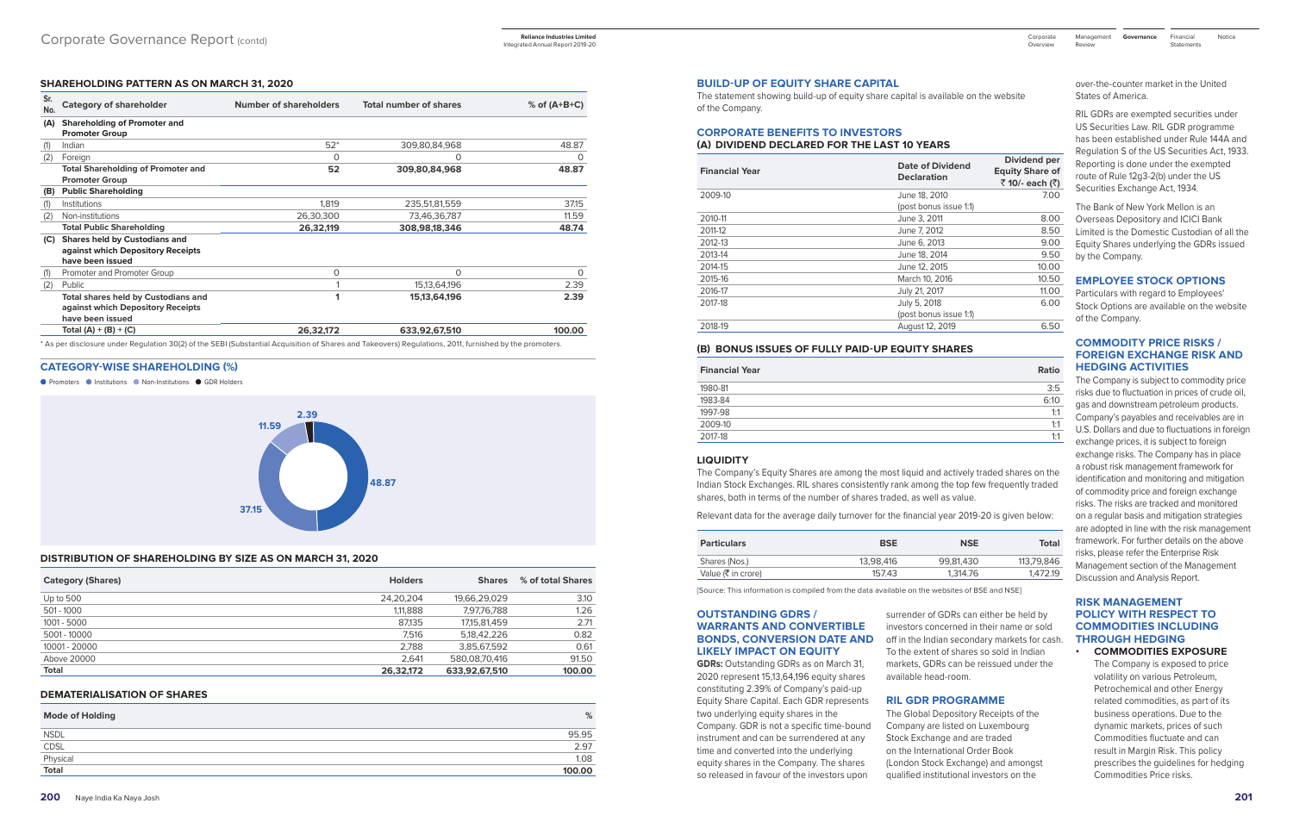#### **SHAREHOLDING PATTERN AS ON MARCH 31, 2020**

| Sr.<br>No. | <b>Category of shareholder</b>                                                               | Number of shareholders | <b>Total number of shares</b> | $%$ of (A+B+C) |
|------------|----------------------------------------------------------------------------------------------|------------------------|-------------------------------|----------------|
| (A)        | <b>Shareholding of Promoter and</b><br><b>Promoter Group</b>                                 |                        |                               |                |
| (1)        | Indian                                                                                       | $52*$                  | 309,80,84,968                 | 48.87          |
| (2)        | Foreign                                                                                      | $\Omega$               | O                             | O              |
|            | <b>Total Shareholding of Promoter and</b><br><b>Promoter Group</b>                           | 52                     | 309,80,84,968                 | 48.87          |
| (B)        | <b>Public Shareholding</b>                                                                   |                        |                               |                |
| (1)        | Institutions                                                                                 | 1.819                  | 235,51,81,559                 | 37.15          |
| (2)        | Non-institutions                                                                             | 26,30,300              | 73,46,36,787                  | 11.59          |
|            | <b>Total Public Shareholding</b>                                                             | 26,32,119              | 308,98,18,346                 | 48.74          |
| (C)        | Shares held by Custodians and<br>against which Depository Receipts<br>have been issued       |                        |                               |                |
| (1)        | Promoter and Promoter Group                                                                  | 0                      | 0                             | 0              |
| (2)        | Public                                                                                       |                        | 15,13,64,196                  | 2.39           |
|            | Total shares held by Custodians and<br>against which Depository Receipts<br>have been issued |                        | 15, 13, 64, 196               | 2.39           |
|            | Total (A) + (B) + (C)                                                                        | 26,32,172              | 633,92,67,510                 | 100.00         |

**CATEGORY-WISE SHAREHOLDING (%)**

● Promoters ● Institutions ● Non-Institutions ● GDR Holders



#### **DISTRIBUTION OF SHAREHOLDING BY SIZE AS ON MARCH 31, 2020**

| <b>Category (Shares)</b> | <b>Holders</b> | <b>Shares</b>   | % of total Shares |
|--------------------------|----------------|-----------------|-------------------|
| Up to 500                | 24,20,204      | 19,66,29,029    | 3.10              |
| 501 - 1000               | 1,11,888       | 7,97,76,788     | 1.26              |
| 1001 - 5000              | 87,135         | 17, 15, 81, 459 | 2.71              |
| 5001 - 10000             | 7.516          | 5.18.42.226     | 0.82              |
| 10001 - 20000            | 2,788          | 3,85,67,592     | 0.61              |
| Above 20000              | 2.641          | 580.08.70.416   | 91.50             |
| <b>Total</b>             | 26.32.172      | 633.92.67.510   | 100.00            |

#### **DEMATERIALISATION OF SHARES**

| <b>Mode of Holding</b> | %      |
|------------------------|--------|
| <b>NSDL</b>            | 95.95  |
| CDSL                   | 2.97   |
| Physical               | 1.08   |
| Total                  | 100.00 |

#### **BUILD-UP OF EQUITY SHARE CAPITAL**

The statement showing build-up of equity share capital is available on the website of the Company.

# **CORPORATE BENEFITS TO INVESTORS**

# **(A) DIVIDEND DECLARED FOR THE LAST 10 YEARS**

# **Dividend per**

| <b>Financial Year</b> | <b>Date of Dividend</b><br><b>Declaration</b> | Dividend per<br><b>Equity Share of</b><br>₹10/- each (₹) |
|-----------------------|-----------------------------------------------|----------------------------------------------------------|
| 2009-10               | June 18, 2010                                 | 7.00                                                     |
|                       | (post bonus issue 1:1)                        |                                                          |
| 2010-11               | June 3, 2011                                  | 8.00                                                     |
| 2011-12               | June 7, 2012                                  | 8.50                                                     |
| 2012-13               | June 6, 2013                                  | 9.00                                                     |
| 2013-14               | June 18, 2014                                 | 9.50                                                     |
| 2014-15               | June 12, 2015                                 | 10.00                                                    |
| 2015-16               | March 10, 2016                                | 10.50                                                    |
| 2016-17               | July 21, 2017                                 | 11.00                                                    |
| 2017-18               | July 5, 2018                                  | 6.00                                                     |
|                       | (post bonus issue 1:1)                        |                                                          |
| 2018-19               | August 12, 2019                               | 6.50                                                     |
|                       |                                               |                                                          |

#### **(B) BONUS ISSUES OF FULLY PAID-UP EQUITY SHARES**

| <b>Financial Year</b> | Ratio |
|-----------------------|-------|
| 1980-81               | 3:5   |
| 1983-84               | 6:10  |
| 1997-98               | 1:1   |
| 2009-10               | 1:1   |
| 2017-18               | 1:1   |

#### **LIQUIDITY**

The Company's Equity Shares are among the most liquid and actively traded shares on the Indian Stock Exchanges. RIL shares consistently rank among the top few frequently traded shares, both in terms of the number of shares traded, as well as value.

Relevant data for the average daily turnover for the financial year 2019-20 is given below:

| <b>BSE</b> | <b>NSE</b> | <b>Total</b> |
|------------|------------|--------------|
| 13.98.416  | 99.81.430  | 113.79.846   |
| 157.43     | 1.314.76   | 1.472.19     |
|            |            |              |

[Source: This information is compiled from the data available on the websites of BSE and NSE]

Financial Notice **Statements** 

#### **OUTSTANDING GDRS / WARRANTS AND CONVERTIBLE BONDS, CONVERSION DATE AND LIKELY IMPACT ON EQUITY**

**GDRs:** Outstanding GDRs as on March 31, 2020 represent 15,13,64,196 equity shares constituting 2.39% of Company's paid-up Equity Share Capital. Each GDR represents two underlying equity shares in the Company. GDR is not a specific time-bound instrument and can be surrendered at any time and converted into the underlying equity shares in the Company. The shares so released in favour of the investors upon

surrender of GDRs can either be held by investors concerned in their name or sold off in the Indian secondary markets for cash. To the extent of shares so sold in Indian markets, GDRs can be reissued under the available head-room.

#### **RIL GDR PROGRAMME**

The Global Depository Receipts of the Company are listed on Luxembourg Stock Exchange and are traded on the International Order Book (London Stock Exchange) and amongst qualified institutional investors on the

over-the-counter market in the United States of America.

RIL GDRs are exempted securities under US Securities Law. RIL GDR programme has been established under Rule 144A and Regulation S of the US Securities Act, 1933. Reporting is done under the exempted route of Rule 12g3-2(b) under the US Securities Exchange Act, 1934.

The Bank of New York Mellon is an Overseas Depository and ICICI Bank Limited is the Domestic Custodian of all the Equity Shares underlying the GDRs issued by the Company.

## **EMPLOYEE STOCK OPTIONS**

Particulars with regard to Employees' Stock Options are available on the website of the Company.

## **COMMODITY PRICE RISKS / FOREIGN EXCHANGE RISK AND HEDGING ACTIVITIES**

The Company is subject to commodity price risks due to fluctuation in prices of crude oil, gas and downstream petroleum products. Company's payables and receivables are in U.S. Dollars and due to fluctuations in foreign exchange prices, it is subject to foreign exchange risks. The Company has in place a robust risk management framework for identification and monitoring and mitigation of commodity price and foreign exchange risks. The risks are tracked and monitored on a regular basis and mitigation strategies are adopted in line with the risk management framework. For further details on the above risks, please refer the Enterprise Risk Management section of the Management Discussion and Analysis Report.

#### **RISK MANAGEMENT POLICY WITH RESPECT TO COMMODITIES INCLUDING THROUGH HEDGING • COMMODITIES EXPOSURE**

 The Company is exposed to price volatility on various Petroleum, Petrochemical and other Energy related commodities, as part of its business operations. Due to the dynamic markets, prices of such Commodities fluctuate and can result in Margin Risk. This policy prescribes the guidelines for hedging Commodities Price risks.

Management Corporate **Governance** Review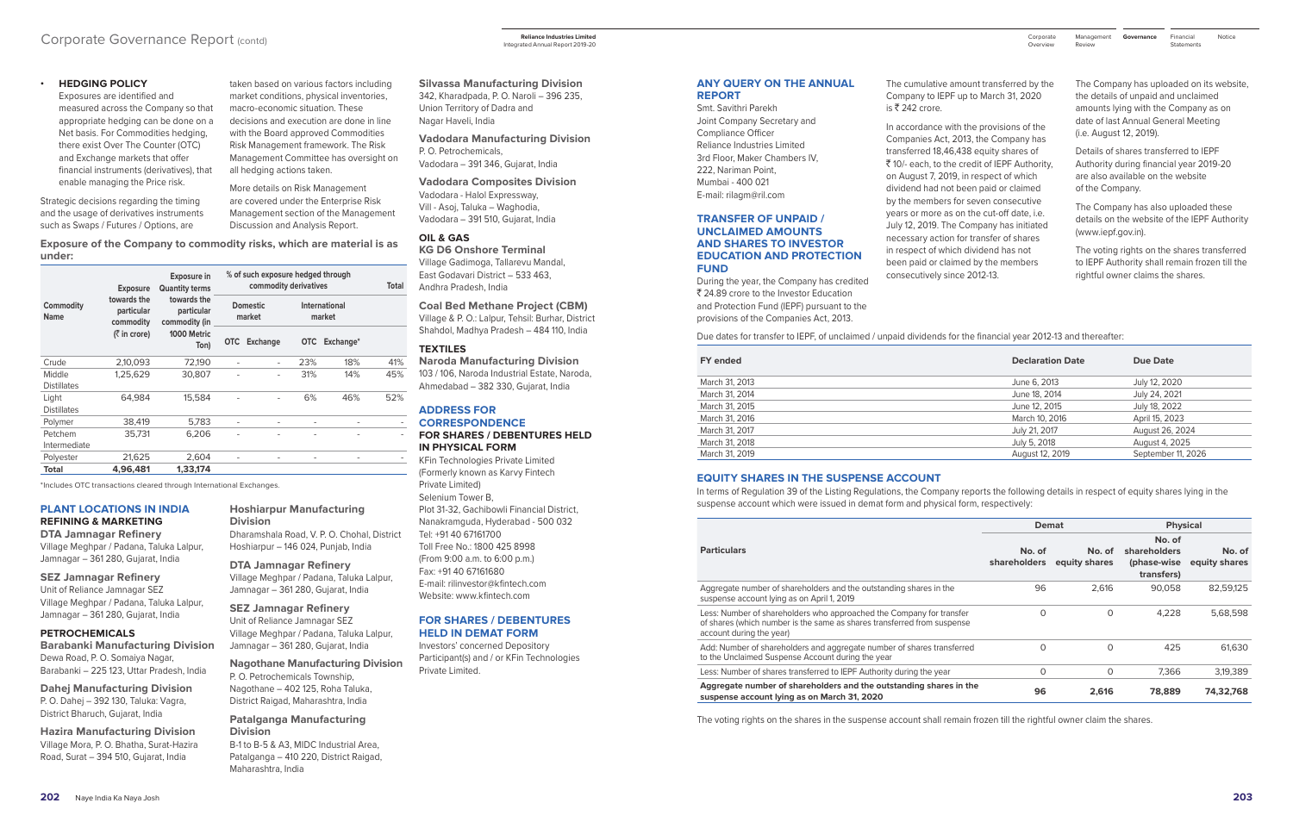#### **• HEDGING POLICY**

 Exposures are identified and measured across the Company so that appropriate hedging can be done on a Net basis. For Commodities hedging, there exist Over The Counter (OTC) and Exchange markets that offer financial instruments (derivatives), that enable managing the Price risk.

Strategic decisions regarding the timing and the usage of derivatives instruments such as Swaps / Futures / Options, are

taken based on various factors including market conditions, physical inventories, macro-economic situation. These decisions and execution are done in line with the Board approved Commodities Risk Management framework. The Risk Management Committee has oversight on all hedging actions taken.

More details on Risk Management are covered under the Enterprise Risk Management section of the Management Discussion and Analysis Report.

**Exposure of the Company to commodity risks, which are material is as under:** 

| <b>Exposure</b>              |                                        | <b>Exposure in</b><br><b>Quantity terms</b> | % of such exposure hedged through<br>commodity derivatives |                           |                              |                          | Total |
|------------------------------|----------------------------------------|---------------------------------------------|------------------------------------------------------------|---------------------------|------------------------------|--------------------------|-------|
| Commodity<br><b>Name</b>     | towards the<br>particular<br>commodity | towards the<br>particular<br>commodity (in  |                                                            | <b>Domestic</b><br>market |                              | International<br>market  |       |
|                              | $(3 \nvert \bar{1})$ in crore)         | 1000 Metric<br>Ton)                         | <b>OTC</b>                                                 | <b>Exchange</b>           |                              | OTC Exchange*            |       |
| Crude                        | 2,10,093                               | 72,190                                      | $\overline{\phantom{a}}$                                   | $\overline{\phantom{0}}$  | 23%                          | 18%                      | 41%   |
| Middle<br><b>Distillates</b> | 1,25,629                               | 30,807                                      | $\overline{a}$                                             |                           | 31%                          | 14%                      | 45%   |
| Light<br><b>Distillates</b>  | 64.984                                 | 15.584                                      |                                                            |                           | 6%                           | 46%                      | 52%   |
| Polymer                      | 38.419                                 | 5.783                                       | $\overline{\phantom{0}}$                                   |                           | $\qquad \qquad \blacksquare$ |                          |       |
| Petchem<br>Intermediate      | 35.731                                 | 6,206                                       |                                                            |                           |                              |                          |       |
| Polyester                    | 21,625                                 | 2,604                                       | $\overline{\phantom{a}}$                                   | $\overline{\phantom{a}}$  | $\qquad \qquad \blacksquare$ | $\overline{\phantom{a}}$ |       |
| Total                        | 4,96,481                               | 1.33.174                                    |                                                            |                           |                              |                          |       |

\*Includes OTC transactions cleared through International Exchanges.

#### **PLANT LOCATIONS IN INDIA REFINING & MARKETING**

**DTA Jamnagar Refinery** Village Meghpar / Padana, Taluka Lalpur, Jamnagar – 361 280, Gujarat, India

#### **SEZ Jamnagar Refinery**

Unit of Reliance Jamnagar SEZ Village Meghpar / Padana, Taluka Lalpur, Jamnagar – 361 280, Gujarat, India

#### **PETROCHEMICALS**

**Barabanki Manufacturing Division** Dewa Road, P. O. Somaiya Nagar, Barabanki – 225 123, Uttar Pradesh, India

**Dahej Manufacturing Division** P. O. Dahej – 392 130, Taluka: Vagra, District Bharuch, Gujarat, India

**Hazira Manufacturing Division** Village Mora, P. O. Bhatha, Surat-Hazira Road, Surat – 394 510, Gujarat, India

#### **Hoshiarpur Manufacturing Division**

Dharamshala Road, V. P. O. Chohal, District Hoshiarpur – 146 024, Punjab, India

**DTA Jamnagar Refinery** Village Meghpar / Padana, Taluka Lalpur, Jamnagar – 361 280, Gujarat, India

#### **SEZ Jamnagar Refinery** Unit of Reliance Jamnagar SEZ

Village Meghpar / Padana, Taluka Lalpur, Jamnagar – 361 280, Gujarat, India

#### **Nagothane Manufacturing Division** P. O. Petrochemicals Township, Nagothane – 402 125, Roha Taluka,

District Raigad, Maharashtra, India

#### **Patalganga Manufacturing Division**

B-1 to B-5 & A3, MIDC Industrial Area, Patalganga – 410 220, District Raigad, Maharashtra, India

**Silvassa Manufacturing Division** 342, Kharadpada, P. O. Naroli – 396 235, Union Territory of Dadra and Nagar Haveli, India

**Vadodara Manufacturing Division** P. O. Petrochemicals, Vadodara – 391 346, Gujarat, India

**Vadodara Composites Division** Vadodara - Halol Expressway, Vill - Asoj, Taluka – Waghodia, Vadodara – 391 510, Gujarat, India

#### **OIL & GAS**

**KG D6 Onshore Terminal** Village Gadimoga, Tallarevu Mandal, East Godavari District – 533 463, Andhra Pradesh, India

**Coal Bed Methane Project (CBM)**

Village & P. O.: Lalpur, Tehsil: Burhar, District Shahdol, Madhya Pradesh – 484 110, India

#### **TEXTILES**

**Naroda Manufacturing Division** 103 / 106, Naroda Industrial Estate, Naroda, Ahmedabad – 382 330, Gujarat, India

#### **ADDRESS FOR CORRESPONDENCE FOR SHARES / DEBENTURES HELD IN PHYSICAL FORM**

Financial Notice **Statements** 

KFin Technologies Private Limited (Formerly known as Karvy Fintech Private Limited) Selenium Tower B, Plot 31-32, Gachibowli Financial District, Nanakramguda, Hyderabad - 500 032 Tel: +91 40 67161700 Toll Free No.: 1800 425 8998 (From 9:00 a.m. to 6:00 p.m.) Fax: +91 40 67161680 E-mail: rilinvestor@kfintech.com Website: www.kfintech.com

#### **FOR SHARES / DEBENTURES HELD IN DEMAT FORM**

Investors' concerned Depository Participant(s) and / or KFin Technologies Private Limited.

## Corporate Governance Report (contd)

#### **ANY QUERY ON THE ANNUAL REPORT**

Smt. Savithri Parekh Joint Company Secretary and Compliance Officer Reliance Industries Limited 3rd Floor, Maker Chambers IV, 222, Nariman Point, Mumbai - 400 021 E-mail: rilagm@ril.com

#### **TRANSFER OF UNPAID / UNCLAIMED AMOUNTS AND SHARES TO INVESTOR EDUCATION AND PROTECTION FUND**

During the year, the Company has credited ₹ 24.89 crore to the Investor Education and Protection Fund (IEPF) pursuant to the provisions of the Companies Act, 2013.

The cumulative amount transferred by the Company to IEPF up to March 31, 2020

In accordance with the provisions of the Companies Act, 2013, the Company has transferred 18,46,438 equity shares of ` 10/- each, to the credit of IEPF Authority, on August 7, 2019, in respect of which dividend had not been paid or claimed by the members for seven consecutive years or more as on the cut-off date, i.e. July 12, 2019. The Company has initiated necessary action for transfer of shares in respect of which dividend has not been paid or claimed by the members

consecutively since 2012-13.

is ₹ 242 crore.

The Company has uploaded on its website, the details of unpaid and unclaimed amounts lying with the Company as on date of last Annual General Meeting (i.e. August 12, 2019).

Details of shares transferred to IEPF Authority during financial year 2019-20 are also available on the website of the Company.

The Company has also uploaded these details on the website of the IEPF Authority [\(www.iepf.gov.in](http://www.iepf.gov.in)).

The voting rights on the shares transferred to IEPF Authority shall remain frozen till the rightful owner claims the shares.

Due dates for transfer to IEPF, of unclaimed / unpaid dividends for the financial year 2012-13 and thereafter:

| <b>FY</b> ended | <b>Declaration Date</b> | Due Date           |
|-----------------|-------------------------|--------------------|
| March 31, 2013  | June 6, 2013            | July 12, 2020      |
| March 31, 2014  | June 18, 2014           | July 24, 2021      |
| March 31, 2015  | June 12, 2015           | July 18, 2022      |
| March 31, 2016  | March 10, 2016          | April 15, 2023     |
| March 31, 2017  | July 21, 2017           | August 26, 2024    |
| March 31, 2018  | July 5, 2018            | August 4, 2025     |
| March 31, 2019  | August 12, 2019         | September 11, 2026 |

#### **EQUITY SHARES IN THE SUSPENSE ACCOUNT**

In terms of Regulation 39 of the Listing Regulations, the Company reports the following details in respect of equity shares lying in the suspense account which were issued in demat form and physical form, respectively:

|                               |                         | <b>Physical</b>                                     |                         |  |
|-------------------------------|-------------------------|-----------------------------------------------------|-------------------------|--|
| No. of<br><b>shareholders</b> | No. of<br>equity shares | No. of<br>shareholders<br>(phase-wise<br>transfers) | No. of<br>equity shares |  |
| 96                            | 2,616                   | 90.058                                              | 82,59,125               |  |
| $\Omega$                      | $\Omega$                | 4,228                                               | 5,68,598                |  |
| 0                             | $\Omega$                | 425                                                 | 61.630                  |  |
| 0                             | 0                       | 7.366                                               | 3,19,389                |  |
| 96                            | 2,616                   | 78,889                                              | 74,32,768               |  |
|                               |                         | Demat                                               |                         |  |

The voting rights on the shares in the suspense account shall remain frozen till the rightful owner claim the shares.

**Reliance Industries Limited**  Integrated Annual Report 2019-20

| Corporate<br>Overview | Management<br>Review | Governance |
|-----------------------|----------------------|------------|
|                       |                      |            |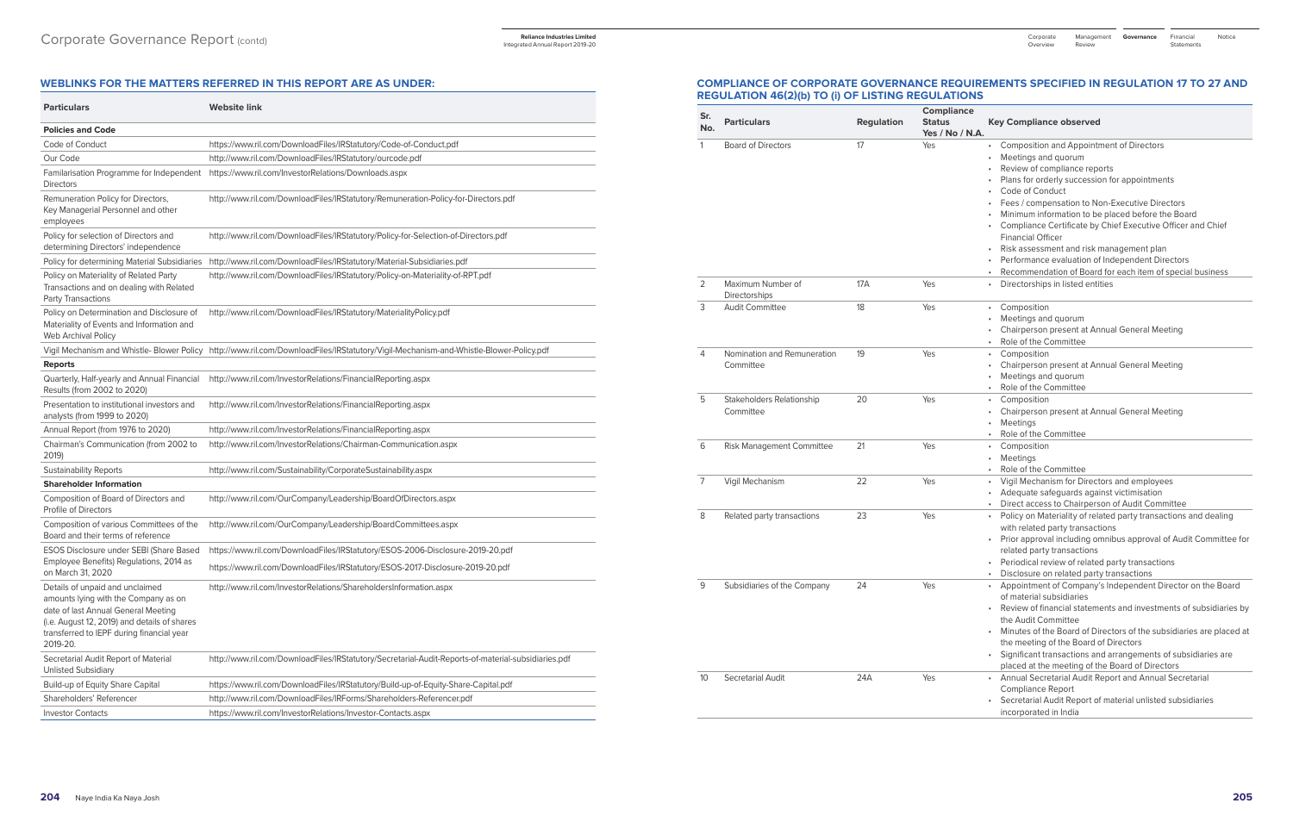#### **WEBLINKS FOR THE MATTERS REFERRED IN THIS REPORT ARE AS UNDER:**

| <b>Particulars</b>                                                                                                                                                                                                      | <b>Website link</b>                                                                                 |
|-------------------------------------------------------------------------------------------------------------------------------------------------------------------------------------------------------------------------|-----------------------------------------------------------------------------------------------------|
| <b>Policies and Code</b>                                                                                                                                                                                                |                                                                                                     |
| Code of Conduct                                                                                                                                                                                                         | https://www.ril.com/DownloadFiles/IRStatutory/Code-of-Conduct.pdf                                   |
| Our Code                                                                                                                                                                                                                | http://www.ril.com/DownloadFiles/IRStatutory/ourcode.pdf                                            |
| Familarisation Programme for Independent<br><b>Directors</b>                                                                                                                                                            | https://www.ril.com/InvestorRelations/Downloads.aspx                                                |
| Remuneration Policy for Directors,<br>Key Managerial Personnel and other<br>employees                                                                                                                                   | http://www.ril.com/DownloadFiles/IRStatutory/Remuneration-Policy-for-Directors.pdf                  |
| Policy for selection of Directors and<br>determining Directors' independence                                                                                                                                            | http://www.ril.com/DownloadFiles/IRStatutory/Policy-for-Selection-of-Directors.pdf                  |
| Policy for determining Material Subsidiaries                                                                                                                                                                            | http://www.ril.com/DownloadFiles/IRStatutory/Material-Subsidiaries.pdf                              |
| Policy on Materiality of Related Party<br>Transactions and on dealing with Related<br>Party Transactions                                                                                                                | http://www.ril.com/DownloadFiles/IRStatutory/Policy-on-Materiality-of-RPT.pdf                       |
| Policy on Determination and Disclosure of<br>Materiality of Events and Information and<br>Web Archival Policy                                                                                                           | http://www.ril.com/DownloadFiles/IRStatutory/MaterialityPolicy.pdf                                  |
| Vigil Mechanism and Whistle- Blower Policy                                                                                                                                                                              | http://www.ril.com/DownloadFiles/IRStatutory/Vigil-Mechanism-and-Whistle-Blower-Policy.pdf          |
| <b>Reports</b>                                                                                                                                                                                                          |                                                                                                     |
| Quarterly, Half-yearly and Annual Financial<br>Results (from 2002 to 2020)                                                                                                                                              | http://www.ril.com/InvestorRelations/FinancialReporting.aspx                                        |
| Presentation to institutional investors and<br>analysts (from 1999 to 2020)                                                                                                                                             | http://www.ril.com/InvestorRelations/FinancialReporting.aspx                                        |
| Annual Report (from 1976 to 2020)                                                                                                                                                                                       | http://www.ril.com/InvestorRelations/FinancialReporting.aspx                                        |
| Chairman's Communication (from 2002 to<br>2019)                                                                                                                                                                         | http://www.ril.com/InvestorRelations/Chairman-Communication.aspx                                    |
| <b>Sustainability Reports</b>                                                                                                                                                                                           | http://www.ril.com/Sustainability/CorporateSustainability.aspx                                      |
| <b>Shareholder Information</b>                                                                                                                                                                                          |                                                                                                     |
| Composition of Board of Directors and<br>Profile of Directors                                                                                                                                                           | http://www.ril.com/OurCompany/Leadership/BoardOfDirectors.aspx                                      |
| Composition of various Committees of the<br>Board and their terms of reference                                                                                                                                          | http://www.ril.com/OurCompany/Leadership/BoardCommittees.aspx                                       |
| ESOS Disclosure under SEBI (Share Based                                                                                                                                                                                 | https://www.ril.com/DownloadFiles/IRStatutory/ESOS-2006-Disclosure-2019-20.pdf                      |
| Employee Benefits) Regulations, 2014 as<br>on March 31, 2020                                                                                                                                                            | https://www.ril.com/DownloadFiles/IRStatutory/ESOS-2017-Disclosure-2019-20.pdf                      |
| Details of unpaid and unclaimed<br>amounts lying with the Company as on<br>date of last Annual General Meeting<br>(i.e. August 12, 2019) and details of shares<br>transferred to IEPF during financial year<br>2019-20. | http://www.ril.com/InvestorRelations/ShareholdersInformation.aspx                                   |
| Secretarial Audit Report of Material<br><b>Unlisted Subsidiary</b>                                                                                                                                                      | http://www.ril.com/DownloadFiles/IRStatutory/Secretarial-Audit-Reports-of-material-subsidiaries.pdf |
| Build-up of Equity Share Capital                                                                                                                                                                                        | https://www.ril.com/DownloadFiles/IRStatutory/Build-up-of-Equity-Share-Capital.pdf                  |
| Shareholders' Referencer                                                                                                                                                                                                | http://www.ril.com/DownloadFiles/IRForms/Shareholders-Referencer.pdf                                |
| <b>Investor Contacts</b>                                                                                                                                                                                                | https://www.ril.com/InvestorRelations/Investor-Contacts.aspx                                        |

#### **Compliance observed**

- 2 Composition and Appointment of Directors
- Meetings and quorum
- Review of compliance reports
- Plans for orderly succession for appointments
- Code of Conduct
- Fees / compensation to Non-Executive Directors
- Minimum information to be placed before the Board
- Compliance Certificate by Chief Executive Officer and Chief Financial Officer
- 
- Risk assessment and risk management plan
- Performance evaluation of Independent Directors
- Recommendation of Board for each item of special business
- lirectorships in listed entities
- $\text{Composition}$
- Meetings and quorum
- Chairperson present at Annual General Meeting
- ole of the Committee
- 2 omposition
- Chairperson present at Annual General Meeting
- Meetings and quorum
- ole of the Committee
- 20 amposition
- Chairperson present at Annual General Meeting
- *Meetings*
- ole of the Committee
- .<br> **Composition**
- Meetings
- ole of the Committee
- <sup>7</sup>igil Mechanism for Directors and employees
- Adequate safeguards against victimisation
- Direct access to Chairperson of Audit Committee
- olicy on Materiality of related party transactions and dealing
- with related party transactions
- rior approval including omnibus approval of Audit Committee for elated party transactions
- eriodical review of related party transactions
- Disclosure on related party transactions
- Appointment of Company's Independent Director on the Board f material subsidiaries
- Review of financial statements and investments of subsidiaries by he Audit Committee
- Minutes of the Board of Directors of the subsidiaries are placed at he meeting of the Board of Directors
- ignificant transactions and arrangements of subsidiaries are
- laced at the meeting of the Board of Directors
- **Innual Secretarial Audit Report and Annual Secretarial** Compliance Report
- ecretarial Audit Report of material unlisted subsidiaries ncorporated in India

## **COMPLIANCE OF CORPORATE GOVERNANCE REQUIREMENTS SPECIFIED IN REGULATION 17 TO 27 AND REGULATION 46(2)(b) TO (i) OF LISTING REGULATIONS**

| Sr.<br>No.     | <b>Particulars</b>                       | <b>Regulation</b> | Compliance<br><b>Status</b><br>Yes / No / N.A. | Key                                                                                                             |
|----------------|------------------------------------------|-------------------|------------------------------------------------|-----------------------------------------------------------------------------------------------------------------|
| $\mathbf{1}$   | <b>Board of Directors</b>                | 17                | Yes                                            | C<br>$\bullet$<br>M<br>$\bullet$<br>R<br>$\mathsf{P}$<br>C<br>F)<br>M<br>C<br>Fi<br>R<br>P<br>$\mathsf{R}$<br>٠ |
| 2              | Maximum Number of<br>Directorships       | 17A               | Yes                                            | D                                                                                                               |
| 3              | <b>Audit Committee</b>                   | 18                | Yes                                            | C<br>$\bullet$<br>M<br>C<br>$\mathsf{R}$<br>٠                                                                   |
| 4              | Nomination and Remuneration<br>Committee | 19                | Yes                                            | $\mathsf{C}$<br>$\bullet$<br>$\mathsf{C}$<br>M<br>R<br>٠                                                        |
| 5              | Stakeholders Relationship<br>Committee   | 20                | Yes                                            | C<br>$\bullet$<br>C<br>M<br>R<br>٠                                                                              |
| 6              | Risk Management Committee                | 21                | Yes                                            | C<br>٠<br>M<br>$\bullet$<br>R<br>٠                                                                              |
| $\overline{7}$ | Vigil Mechanism                          | 22                | Yes                                            | V<br>$\bullet$<br>A<br>D<br>$\bullet$                                                                           |
| 8              | Related party transactions               | 23                | Yes                                            | $\mathsf{P}$<br>$\bullet$<br>W<br>$\mathsf{P}$<br>r€<br>$\mathsf{P}$<br>D                                       |
| 9              | Subsidiaries of the Company              | 24                | Yes                                            | A<br>$\bullet$<br>O<br>R<br>tŀ<br>M<br>tŀ<br>Si<br>$\mathsf{p}$                                                 |
| 10             | Secretarial Audit                        | 24A               | Yes                                            | А<br>$\bullet$<br>C<br>$\mathsf{S}$<br>in                                                                       |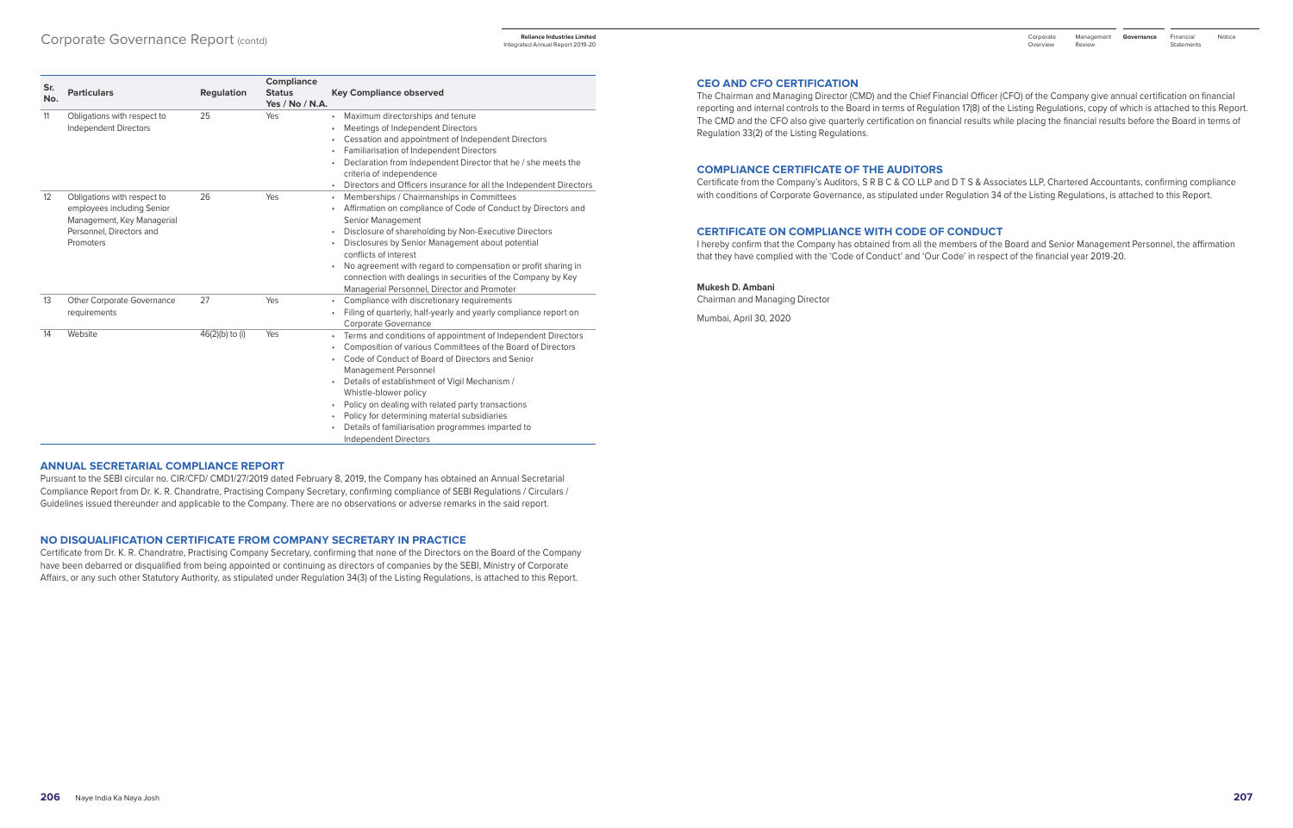| Sr.<br>No. | <b>Particulars</b>                                                                                                               | <b>Regulation</b> | <b>Compliance</b><br><b>Status</b><br>Yes / No / N.A. | <b>Key Compliance observed</b>                                                                                                                                                                                                                                                                                                                                                                                                                                              |
|------------|----------------------------------------------------------------------------------------------------------------------------------|-------------------|-------------------------------------------------------|-----------------------------------------------------------------------------------------------------------------------------------------------------------------------------------------------------------------------------------------------------------------------------------------------------------------------------------------------------------------------------------------------------------------------------------------------------------------------------|
| 11         | Obligations with respect to<br><b>Independent Directors</b>                                                                      | 25                | Yes                                                   | Maximum directorships and tenure<br>Meetings of Independent Directors<br>Cessation and appointment of Independent Directors<br>Familiarisation of Independent Directors<br>Declaration from Independent Director that he / she meets the<br>criteria of independence<br>Directors and Officers insurance for all the Independent Directors                                                                                                                                  |
| 12         | Obligations with respect to<br>employees including Senior<br>Management, Key Managerial<br>Personnel, Directors and<br>Promoters | 26                | Yes                                                   | Memberships / Chairmanships in Committees<br>Affirmation on compliance of Code of Conduct by Directors and<br>Senior Management<br>Disclosure of shareholding by Non-Executive Directors<br>Disclosures by Senior Management about potential<br>conflicts of interest<br>No agreement with regard to compensation or profit sharing in<br>connection with dealings in securities of the Company by Key<br>Managerial Personnel, Director and Promoter                       |
| 13         | <b>Other Corporate Governance</b><br>requirements                                                                                | 27                | Yes                                                   | Compliance with discretionary requirements<br>Filing of quarterly, half-yearly and yearly compliance report on<br>Corporate Governance                                                                                                                                                                                                                                                                                                                                      |
| 14         | Website                                                                                                                          | 46(2)(b) to (i)   | Yes                                                   | Terms and conditions of appointment of Independent Directors<br>Composition of various Committees of the Board of Directors<br>Code of Conduct of Board of Directors and Senior<br>Management Personnel<br>Details of establishment of Vigil Mechanism /<br>Whistle-blower policy<br>Policy on dealing with related party transactions<br>Policy for determining material subsidiaries<br>Details of familiarisation programmes imparted to<br><b>Independent Directors</b> |

#### **ANNUAL SECRETARIAL COMPLIANCE REPORT**

Pursuant to the SEBI circular no. CIR/CFD/ CMD1/27/2019 dated February 8, 2019, the Company has obtained an Annual Secretarial Compliance Report from Dr. K. R. Chandratre, Practising Company Secretary, confirming compliance of SEBI Regulations / Circulars / Guidelines issued thereunder and applicable to the Company. There are no observations or adverse remarks in the said report.

#### **NO DISQUALIFICATION CERTIFICATE FROM COMPANY SECRETARY IN PRACTICE**

Certificate from Dr. K. R. Chandratre, Practising Company Secretary, confirming that none of the Directors on the Board of the Company have been debarred or disqualified from being appointed or continuing as directors of companies by the SEBI, Ministry of Corporate Affairs, or any such other Statutory Authority, as stipulated under Regulation 34(3) of the Listing Regulations, is attached to this Report.

#### **CEO AND CFO CERTIFICATION**

The Chairman and Managing Director (CMD) and the Chief Financial Officer (CFO) of the Company give annual certification on financial reporting and internal controls to the Board in terms of Regulation 17(8) of the Listing Regulations, copy of which is attached to this Report. The CMD and the CFO also give quarterly certification on financial results while placing the financial results before the Board in terms of Regulation 33(2) of the Listing Regulations.

#### **COMPLIANCE CERTIFICATE OF THE AUDITORS**

Certificate from the Company's Auditors, S R B C & CO LLP and D T S & Associates LLP, Chartered Accountants, confirming compliance with conditions of Corporate Governance, as stipulated under Regulation 34 of the Listing Regulations, is attached to this Report.

#### **CERTIFICATE ON COMPLIANCE WITH CODE OF CONDUCT**

I hereby confirm that the Company has obtained from all the members of the Board and Senior Management Personnel, the affirmation that they have complied with the 'Code of Conduct' and 'Our Code' in respect of the financial year 2019-20.

#### **Mukesh D. Ambani**

Chairman and Managing Director

Mumbai, April 30, 2020

Integrated Annual Report 2019-20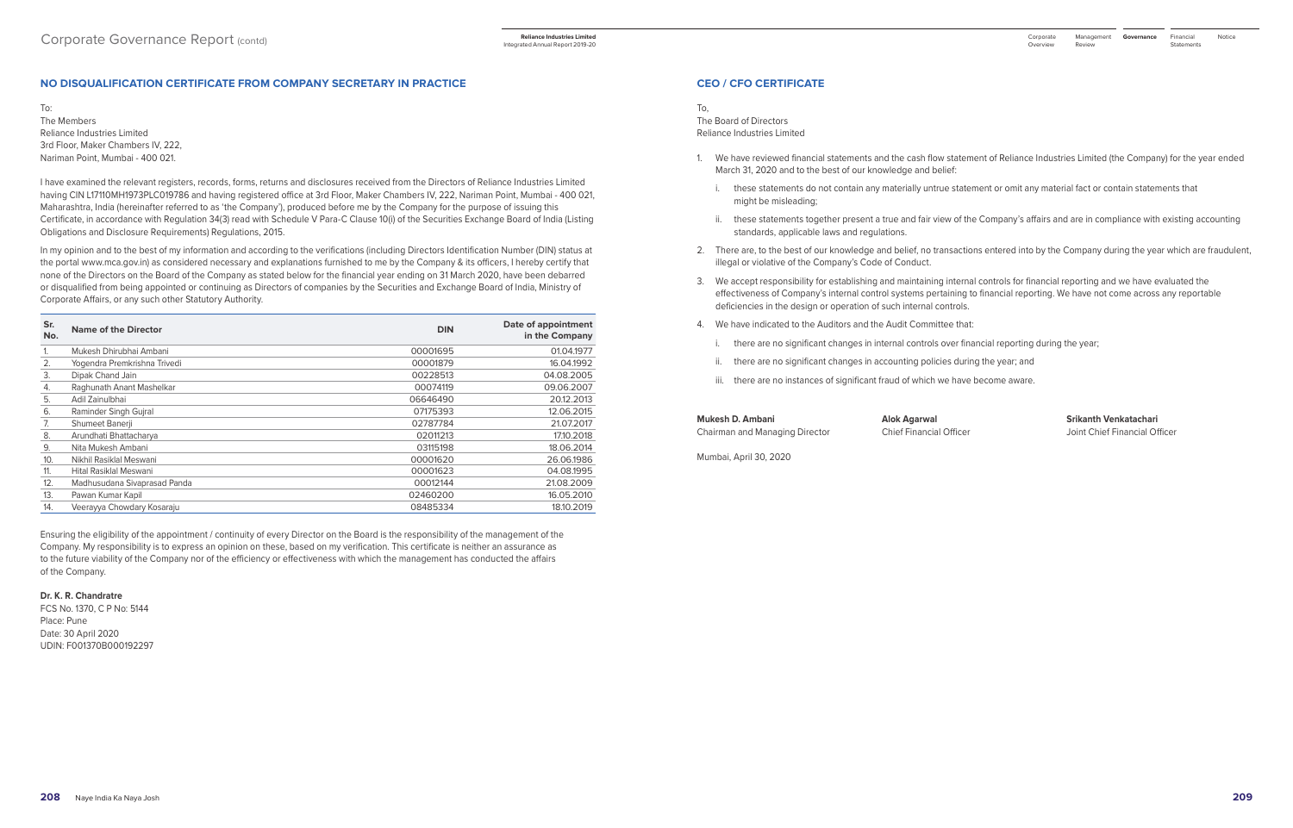#### **CEO / CFO CERTIFICATE**

To, The Board of Directors Reliance Industries Limited

- 1. We have reviewed financial statements and the cash flow statement of Reliance Industries Limited (the Company) for the year ended March 31, 2020 and to the best of our knowledge and belief:
	- i. these statements do not contain any materially untrue statement or omit any material fact or contain statements that might be misleading;
	- ii. these statements together present a true and fair view of the Company's affairs and are in compliance with existing accounting standards, applicable laws and regulations.
- 2. There are, to the best of our knowledge and belief, no transactions entered into by the Company during the year which are fraudulent, illegal or violative of the Company's Code of Conduct.
- 3. We accept responsibility for establishing and maintaining internal controls for financial reporting and we have evaluated the effectiveness of Company's internal control systems pertaining to financial reporting. We have not come across any reportable deficiencies in the design or operation of such internal controls.
- 4. We have indicated to the Auditors and the Audit Committee that:
	- i. there are no significant changes in internal controls over financial reporting during the year;
	- ii. there are no significant changes in accounting policies during the year; and
	- iii. there are no instances of significant fraud of which we have become aware.

**Mukesh D. Ambani Alok Agarwal Srikanth Venkatachari**

Chairman and Managing Director Chief Financial Officer Joint Chief Financial Officer

Mumbai, April 30, 2020

#### **NO DISQUALIFICATION CERTIFICATE FROM COMPANY SECRETARY IN PRACTICE**

To: The Members Reliance Industries Limited

3rd Floor, Maker Chambers IV, 222, Nariman Point, Mumbai - 400 021.

I have examined the relevant registers, records, forms, returns and disclosures received from the Directors of Reliance Industries Limited having CIN L17110MH1973PLC019786 and having registered office at 3rd Floor, Maker Chambers IV, 222, Nariman Point, Mumbai - 400 021, Maharashtra, India (hereinafter referred to as 'the Company'), produced before me by the Company for the purpose of issuing this Certificate, in accordance with Regulation 34(3) read with Schedule V Para-C Clause 10(i) of the Securities Exchange Board of India (Listing Obligations and Disclosure Requirements) Regulations, 2015.

Naye India Ka Naya Josh **208 209**

In my opinion and to the best of my information and according to the verifications (including Directors Identification Number (DIN) status at the portal www.mca.gov.in) as considered necessary and explanations furnished to me by the Company & its officers, I hereby certify that none of the Directors on the Board of the Company as stated below for the financial year ending on 31 March 2020, have been debarred or disqualified from being appointed or continuing as Directors of companies by the Securities and Exchange Board of India, Ministry of Corporate Affairs, or any such other Statutory Authority.

| Sr.<br>No. | <b>Name of the Director</b>  | <b>DIN</b> | Date of appointment<br>in the Company |
|------------|------------------------------|------------|---------------------------------------|
| 1.         | Mukesh Dhirubhai Ambani      | 00001695   | 01.04.1977                            |
| 2.         | Yogendra Premkrishna Trivedi | 00001879   | 16.04.1992                            |
| 3.         | Dipak Chand Jain             | 00228513   | 04.08.2005                            |
| 4.         | Raghunath Anant Mashelkar    | 00074119   | 09.06.2007                            |
| 5.         | Adil Zainulbhai              | 06646490   | 20.12.2013                            |
| 6.         | Raminder Singh Gujral        | 07175393   | 12.06.2015                            |
| 7.         | Shumeet Banerji              | 02787784   | 21.07.2017                            |
| 8.         | Arundhati Bhattacharya       | 02011213   | 17.10.2018                            |
| 9.         | Nita Mukesh Ambani           | 03115198   | 18.06.2014                            |
| 10.        | Nikhil Rasiklal Meswani      | 00001620   | 26.06.1986                            |
| 11.        | Hital Rasiklal Meswani       | 00001623   | 04.08.1995                            |
| 12.        | Madhusudana Sivaprasad Panda | 00012144   | 21.08.2009                            |
| 13.        | Pawan Kumar Kapil            | 02460200   | 16.05.2010                            |
| 14.        | Veerayya Chowdary Kosaraju   | 08485334   | 18.10.2019                            |

Ensuring the eligibility of the appointment / continuity of every Director on the Board is the responsibility of the management of the Company. My responsibility is to express an opinion on these, based on my verification. This certificate is neither an assurance as to the future viability of the Company nor of the efficiency or effectiveness with which the management has conducted the affairs of the Company.

#### **Dr. K. R. Chandratre**

FCS No. 1370, C P No: 5144 Place: Pune Date: 30 April 2020 UDIN: F001370B000192297